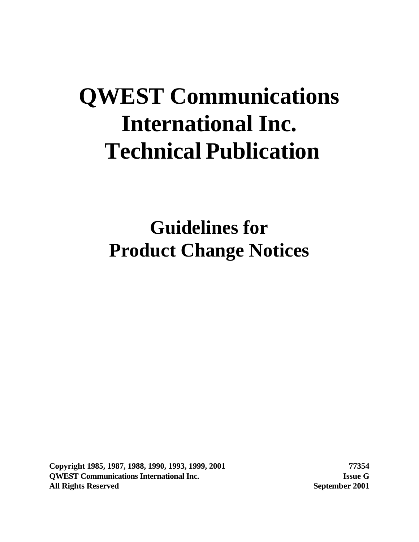# **QWEST Communications International Inc. Technical Publication**

**Guidelines for Product Change Notices**

**Copyright 1985, 1987, 1988, 1990, 1993, 1999, 2001 77354 QWEST Communications International Inc. Issue G All Rights Reserved September 2001**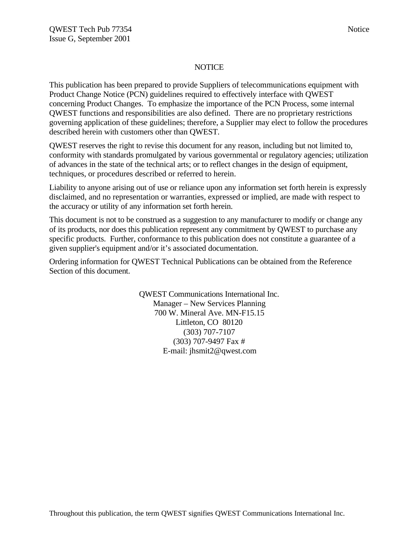#### **NOTICE**

This publication has been prepared to provide Suppliers of telecommunications equipment with Product Change Notice (PCN) guidelines required to effectively interface with QWEST concerning Product Changes. To emphasize the importance of the PCN Process, some internal QWEST functions and responsibilities are also defined. There are no proprietary restrictions governing application of these guidelines; therefore, a Supplier may elect to follow the procedures described herein with customers other than QWEST.

QWEST reserves the right to revise this document for any reason, including but not limited to, conformity with standards promulgated by various governmental or regulatory agencies; utilization of advances in the state of the technical arts; or to reflect changes in the design of equipment, techniques, or procedures described or referred to herein.

Liability to anyone arising out of use or reliance upon any information set forth herein is expressly disclaimed, and no representation or warranties, expressed or implied, are made with respect to the accuracy or utility of any information set forth herein.

This document is not to be construed as a suggestion to any manufacturer to modify or change any of its products, nor does this publication represent any commitment by QWEST to purchase any specific products. Further, conformance to this publication does not constitute a guarantee of a given supplier's equipment and/or it's associated documentation.

Ordering information for QWEST Technical Publications can be obtained from the Reference Section of this document.

> QWEST Communications International Inc. Manager – New Services Planning 700 W. Mineral Ave. MN-F15.15 Littleton, CO 80120 (303) 707-7107 (303) 707-9497 Fax # E-mail: jhsmit2@qwest.com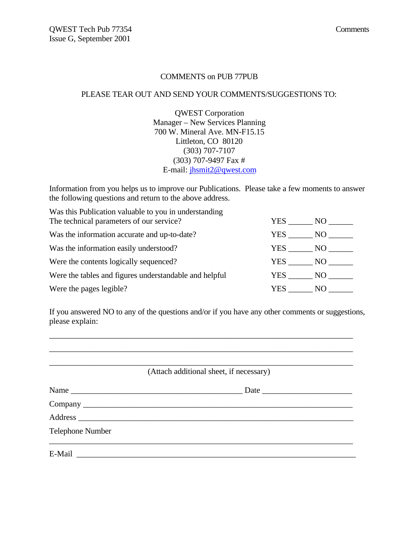#### COMMENTS on PUB 77PUB

#### PLEASE TEAR OUT AND SEND YOUR COMMENTS/SUGGESTIONS TO:

QWEST Corporation Manager – New Services Planning 700 W. Mineral Ave. MN-F15.15 Littleton, CO 80120 (303) 707-7107 (303) 707-9497 Fax # E-mail: jhsmit2@qwest.com

Information from you helps us to improve our Publications. Please take a few moments to answer the following questions and return to the above address.

Was this Publication valuable to you in understanding The technical parameters of our service? YES \_\_\_\_\_\_ NO \_\_\_\_\_\_ Was the information accurate and up-to-date? YES \_\_\_\_\_\_ NO \_\_\_\_\_\_ Was the information easily understood? YES \_\_\_\_\_\_ NO \_\_\_\_\_\_ Were the contents logically sequenced? <br>
YES \_\_\_\_\_\_ NO \_\_\_\_\_\_ Were the tables and figures understandable and helpful YES \_\_\_\_\_\_ NO \_\_\_\_\_\_ Were the pages legible? YES \_\_\_\_\_\_ NO \_\_\_\_\_\_

If you answered NO to any of the questions and/or if you have any other comments or suggestions, please explain:

\_\_\_\_\_\_\_\_\_\_\_\_\_\_\_\_\_\_\_\_\_\_\_\_\_\_\_\_\_\_\_\_\_\_\_\_\_\_\_\_\_\_\_\_\_\_\_\_\_\_\_\_\_\_\_\_\_\_\_\_\_\_\_\_\_\_\_\_\_\_\_\_\_\_

|                         | (Attach additional sheet, if necessary) |
|-------------------------|-----------------------------------------|
| Name                    | Date                                    |
|                         |                                         |
|                         |                                         |
| <b>Telephone Number</b> |                                         |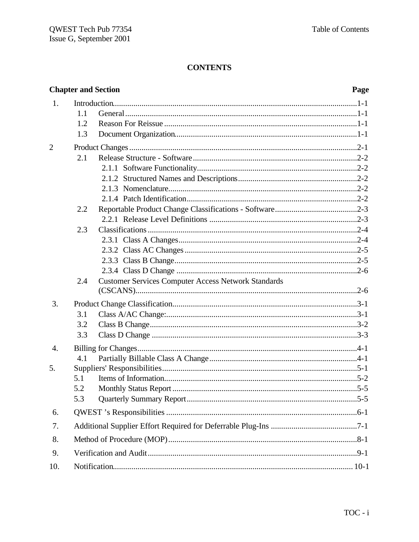|                |     | <b>Chapter and Section</b>                                 | Page |
|----------------|-----|------------------------------------------------------------|------|
| 1.             |     |                                                            |      |
|                | 1.1 |                                                            |      |
|                | 1.2 |                                                            |      |
|                | 1.3 |                                                            |      |
| $\overline{2}$ |     |                                                            |      |
|                | 2.1 |                                                            |      |
|                |     |                                                            |      |
|                |     |                                                            |      |
|                |     |                                                            |      |
|                |     |                                                            |      |
|                | 2.2 |                                                            |      |
|                |     |                                                            |      |
|                | 2.3 |                                                            |      |
|                |     |                                                            |      |
|                |     |                                                            |      |
|                |     |                                                            |      |
|                |     |                                                            |      |
|                | 2.4 | <b>Customer Services Computer Access Network Standards</b> |      |
| 3.             |     |                                                            |      |
|                | 3.1 |                                                            |      |
|                | 3.2 |                                                            |      |
|                |     |                                                            |      |
|                | 3.3 |                                                            |      |
| 4.             |     |                                                            |      |
|                | 4.1 |                                                            |      |
| 5.             |     |                                                            |      |
|                | 5.1 |                                                            |      |
|                | 5.2 |                                                            |      |
|                | 5.3 |                                                            |      |
| 6.             |     |                                                            |      |
| 7.             |     |                                                            |      |
| 8.             |     |                                                            |      |
| 9.             |     |                                                            |      |
| 10.            |     |                                                            |      |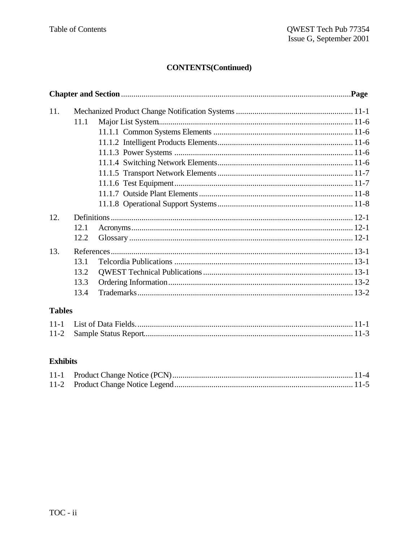# **CONTENTS(Continued)**

| 11. |      |  |  |
|-----|------|--|--|
|     | 11.1 |  |  |
|     |      |  |  |
|     |      |  |  |
|     |      |  |  |
|     |      |  |  |
|     |      |  |  |
|     |      |  |  |
|     |      |  |  |
|     |      |  |  |
| 12. |      |  |  |
|     | 12.1 |  |  |
|     | 12.2 |  |  |
| 13. |      |  |  |
|     | 13.1 |  |  |
|     | 13.2 |  |  |
|     | 13.3 |  |  |
|     | 13.4 |  |  |
|     |      |  |  |

# **Tables**

# **Exhibits**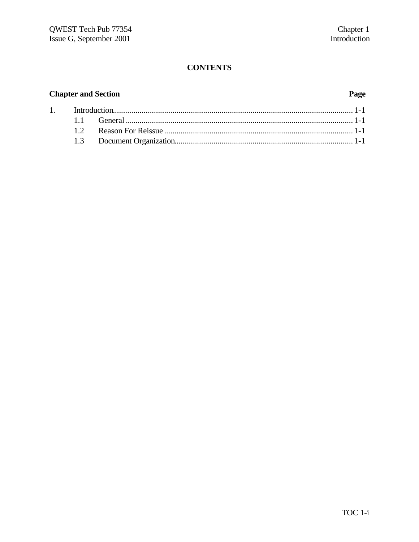# **Chapter and Section**

#### Page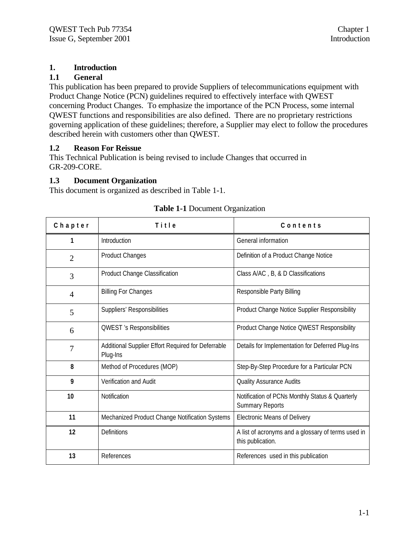## **1. Introduction**

#### **1.1 General**

This publication has been prepared to provide Suppliers of telecommunications equipment with Product Change Notice (PCN) guidelines required to effectively interface with QWEST concerning Product Changes. To emphasize the importance of the PCN Process, some internal QWEST functions and responsibilities are also defined. There are no proprietary restrictions governing application of these guidelines; therefore, a Supplier may elect to follow the procedures described herein with customers other than QWEST.

#### **1.2 Reason For Reissue**

This Technical Publication is being revised to include Changes that occurred in GR-209-CORE.

#### **1.3 Document Organization**

This document is organized as described in Table 1-1.

| Chapter        | Title                                                          | Contents                                                                  |
|----------------|----------------------------------------------------------------|---------------------------------------------------------------------------|
|                | Introduction                                                   | General information                                                       |
| $\overline{2}$ | Product Changes                                                | Definition of a Product Change Notice                                     |
| 3              | Product Change Classification                                  | Class A/AC, B, & D Classifications                                        |
| $\overline{4}$ | <b>Billing For Changes</b>                                     | Responsible Party Billing                                                 |
| 5              | Suppliers' Responsibilities                                    | Product Change Notice Supplier Responsibility                             |
| 6              | <b>QWEST</b> 's Responsibilities                               | Product Change Notice QWEST Responsibility                                |
| 7              | Additional Supplier Effort Required for Deferrable<br>Plug-Ins | Details for Implementation for Deferred Plug-Ins                          |
| 8              | Method of Procedures (MOP)                                     | Step-By-Step Procedure for a Particular PCN                               |
| 9              | Verification and Audit                                         | <b>Quality Assurance Audits</b>                                           |
| 10             | Notification                                                   | Notification of PCNs Monthly Status & Quarterly<br><b>Summary Reports</b> |
| 11             | Mechanized Product Change Notification Systems                 | <b>Electronic Means of Delivery</b>                                       |
| 12             | Definitions                                                    | A list of acronyms and a glossary of terms used in<br>this publication.   |
| 13             | References                                                     | References used in this publication                                       |

#### **Table 1-1** Document Organization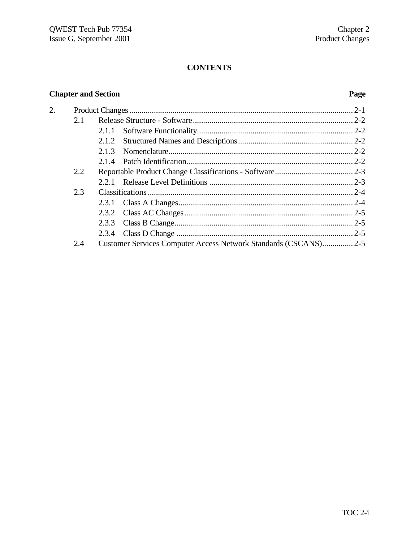# **Chapter and Section**

#### Page

| 2. |     |                                                                 |  |
|----|-----|-----------------------------------------------------------------|--|
|    | 2.1 |                                                                 |  |
|    |     | 2.1.1                                                           |  |
|    |     |                                                                 |  |
|    |     | 2.1.3                                                           |  |
|    |     |                                                                 |  |
|    | 2.2 |                                                                 |  |
|    |     |                                                                 |  |
|    | 2.3 |                                                                 |  |
|    |     |                                                                 |  |
|    |     |                                                                 |  |
|    |     |                                                                 |  |
|    |     |                                                                 |  |
|    | 2.4 | Customer Services Computer Access Network Standards (CSCANS)2-5 |  |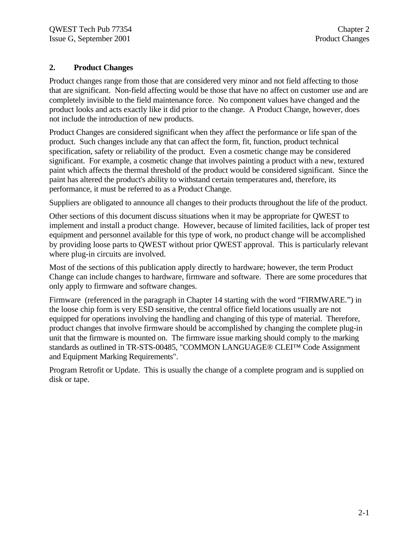#### **2. Product Changes**

Product changes range from those that are considered very minor and not field affecting to those that are significant. Non-field affecting would be those that have no affect on customer use and are completely invisible to the field maintenance force. No component values have changed and the product looks and acts exactly like it did prior to the change. A Product Change, however, does not include the introduction of new products.

Product Changes are considered significant when they affect the performance or life span of the product. Such changes include any that can affect the form, fit, function, product technical specification, safety or reliability of the product. Even a cosmetic change may be considered significant. For example, a cosmetic change that involves painting a product with a new, textured paint which affects the thermal threshold of the product would be considered significant. Since the paint has altered the product's ability to withstand certain temperatures and, therefore, its performance, it must be referred to as a Product Change.

Suppliers are obligated to announce all changes to their products throughout the life of the product.

Other sections of this document discuss situations when it may be appropriate for QWEST to implement and install a product change. However, because of limited facilities, lack of proper test equipment and personnel available for this type of work, no product change will be accomplished by providing loose parts to QWEST without prior QWEST approval. This is particularly relevant where plug-in circuits are involved.

Most of the sections of this publication apply directly to hardware; however, the term Product Change can include changes to hardware, firmware and software. There are some procedures that only apply to firmware and software changes.

Firmware (referenced in the paragraph in Chapter 14 starting with the word "FIRMWARE.") in the loose chip form is very ESD sensitive, the central office field locations usually are not equipped for operations involving the handling and changing of this type of material. Therefore, product changes that involve firmware should be accomplished by changing the complete plug-in unit that the firmware is mounted on. The firmware issue marking should comply to the marking standards as outlined in TR-STS-00485, "COMMON LANGUAGE® CLEI™ Code Assignment and Equipment Marking Requirements".

Program Retrofit or Update. This is usually the change of a complete program and is supplied on disk or tape.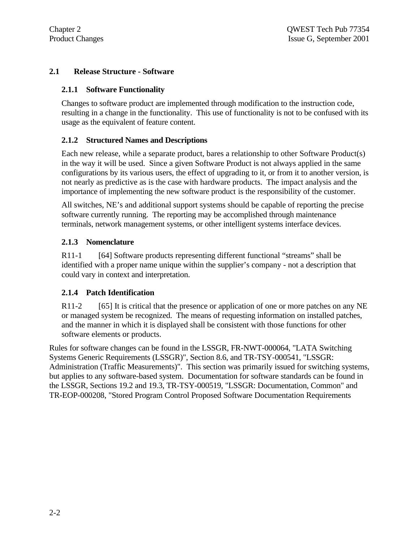#### **2.1 Release Structure - Software**

#### **2.1.1 Software Functionality**

Changes to software product are implemented through modification to the instruction code, resulting in a change in the functionality. This use of functionality is not to be confused with its usage as the equivalent of feature content.

#### **2.1.2 Structured Names and Descriptions**

Each new release, while a separate product, bares a relationship to other Software Product(s) in the way it will be used. Since a given Software Product is not always applied in the same configurations by its various users, the effect of upgrading to it, or from it to another version, is not nearly as predictive as is the case with hardware products. The impact analysis and the importance of implementing the new software product is the responsibility of the customer.

All switches, NE's and additional support systems should be capable of reporting the precise software currently running. The reporting may be accomplished through maintenance terminals, network management systems, or other intelligent systems interface devices.

#### **2.1.3 Nomenclature**

R11-1 [64] Software products representing different functional "streams" shall be identified with a proper name unique within the supplier's company - not a description that could vary in context and interpretation.

#### **2.1.4 Patch Identification**

R11-2 [65] It is critical that the presence or application of one or more patches on any NE or managed system be recognized. The means of requesting information on installed patches, and the manner in which it is displayed shall be consistent with those functions for other software elements or products.

Rules for software changes can be found in the LSSGR, FR-NWT-000064, "LATA Switching Systems Generic Requirements (LSSGR)", Section 8.6, and TR-TSY-000541, "LSSGR: Administration (Traffic Measurements)". This section was primarily issued for switching systems, but applies to any software-based system. Documentation for software standards can be found in the LSSGR, Sections 19.2 and 19.3, TR-TSY-000519, "LSSGR: Documentation, Common" and TR-EOP-000208, "Stored Program Control Proposed Software Documentation Requirements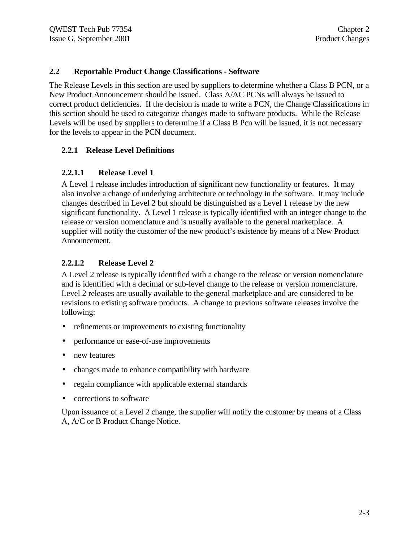#### **2.2 Reportable Product Change Classifications - Software**

The Release Levels in this section are used by suppliers to determine whether a Class B PCN, or a New Product Announcement should be issued. Class A/AC PCNs will always be issued to correct product deficiencies. If the decision is made to write a PCN, the Change Classifications in this section should be used to categorize changes made to software products. While the Release Levels will be used by suppliers to determine if a Class B Pcn will be issued, it is not necessary for the levels to appear in the PCN document.

#### **2.2.1 Release Level Definitions**

#### **2.2.1.1 Release Level 1**

A Level 1 release includes introduction of significant new functionality or features. It may also involve a change of underlying architecture or technology in the software. It may include changes described in Level 2 but should be distinguished as a Level 1 release by the new significant functionality. A Level 1 release is typically identified with an integer change to the release or version nomenclature and is usually available to the general marketplace. A supplier will notify the customer of the new product's existence by means of a New Product Announcement.

#### **2.2.1.2 Release Level 2**

A Level 2 release is typically identified with a change to the release or version nomenclature and is identified with a decimal or sub-level change to the release or version nomenclature. Level 2 releases are usually available to the general marketplace and are considered to be revisions to existing software products. A change to previous software releases involve the following:

- refinements or improvements to existing functionality
- performance or ease-of-use improvements
- new features
- changes made to enhance compatibility with hardware
- regain compliance with applicable external standards
- corrections to software

Upon issuance of a Level 2 change, the supplier will notify the customer by means of a Class A, A/C or B Product Change Notice.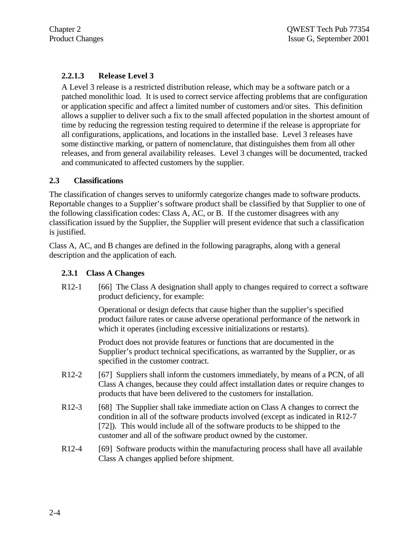#### **2.2.1.3 Release Level 3**

A Level 3 release is a restricted distribution release, which may be a software patch or a patched monolithic load. It is used to correct service affecting problems that are configuration or application specific and affect a limited number of customers and/or sites. This definition allows a supplier to deliver such a fix to the small affected population in the shortest amount of time by reducing the regression testing required to determine if the release is appropriate for all configurations, applications, and locations in the installed base. Level 3 releases have some distinctive marking, or pattern of nomenclature, that distinguishes them from all other releases, and from general availability releases. Level 3 changes will be documented, tracked and communicated to affected customers by the supplier.

#### **2.3 Classifications**

The classification of changes serves to uniformly categorize changes made to software products. Reportable changes to a Supplier's software product shall be classified by that Supplier to one of the following classification codes: Class A, AC, or B. If the customer disagrees with any classification issued by the Supplier, the Supplier will present evidence that such a classification is justified.

Class A, AC, and B changes are defined in the following paragraphs, along with a general description and the application of each.

#### **2.3.1 Class A Changes**

R12-1 [66] The Class A designation shall apply to changes required to correct a software product deficiency, for example:

> Operational or design defects that cause higher than the supplier's specified product failure rates or cause adverse operational performance of the network in which it operates (including excessive initializations or restarts).

Product does not provide features or functions that are documented in the Supplier's product technical specifications, as warranted by the Supplier, or as specified in the customer contract.

- R12-2 [67] Suppliers shall inform the customers immediately, by means of a PCN, of all Class A changes, because they could affect installation dates or require changes to products that have been delivered to the customers for installation.
- R12-3 [68] The Supplier shall take immediate action on Class A changes to correct the condition in all of the software products involved (except as indicated in R12-7 [72]). This would include all of the software products to be shipped to the customer and all of the software product owned by the customer.
- R12-4 [69] Software products within the manufacturing process shall have all available Class A changes applied before shipment.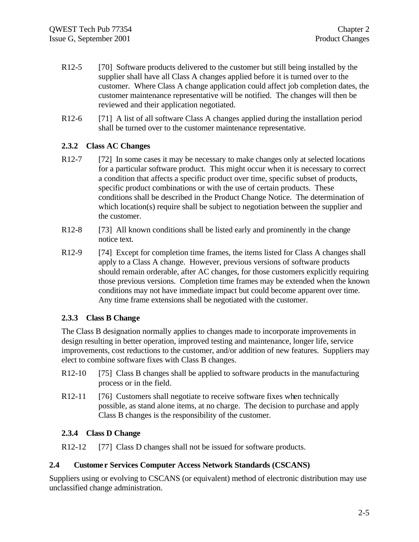- R12-5 [70] Software products delivered to the customer but still being installed by the supplier shall have all Class A changes applied before it is turned over to the customer. Where Class A change application could affect job completion dates, the customer maintenance representative will be notified. The changes will then be reviewed and their application negotiated.
- R12-6 [71] A list of all software Class A changes applied during the installation period shall be turned over to the customer maintenance representative.

#### **2.3.2 Class AC Changes**

- R12-7 [72] In some cases it may be necessary to make changes only at selected locations for a particular software product. This might occur when it is necessary to correct a condition that affects a specific product over time, specific subset of products, specific product combinations or with the use of certain products. These conditions shall be described in the Product Change Notice. The determination of which location(s) require shall be subject to negotiation between the supplier and the customer.
- R12-8 [73] All known conditions shall be listed early and prominently in the change notice text.
- R12-9 [74] Except for completion time frames, the items listed for Class A changes shall apply to a Class A change. However, previous versions of software products should remain orderable, after AC changes, for those customers explicitly requiring those previous versions. Completion time frames may be extended when the known conditions may not have immediate impact but could become apparent over time. Any time frame extensions shall be negotiated with the customer.

#### **2.3.3 Class B Change**

The Class B designation normally applies to changes made to incorporate improvements in design resulting in better operation, improved testing and maintenance, longer life, service improvements, cost reductions to the customer, and/or addition of new features. Suppliers may elect to combine software fixes with Class B changes.

- R12-10 [75] Class B changes shall be applied to software products in the manufacturing process or in the field.
- R12-11 [76] Customers shall negotiate to receive software fixes when technically possible, as stand alone items, at no charge. The decision to purchase and apply Class B changes is the responsibility of the customer.

#### **2.3.4 Class D Change**

R12-12 [77] Class D changes shall not be issued for software products.

#### **2.4 Custome r Services Computer Access Network Standards (CSCANS)**

Suppliers using or evolving to CSCANS (or equivalent) method of electronic distribution may use unclassified change administration.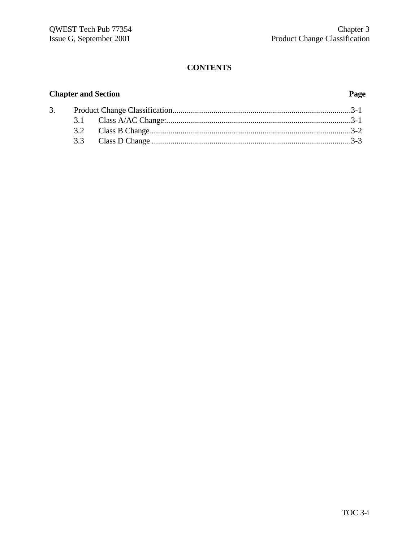# **Chapter and Section Page**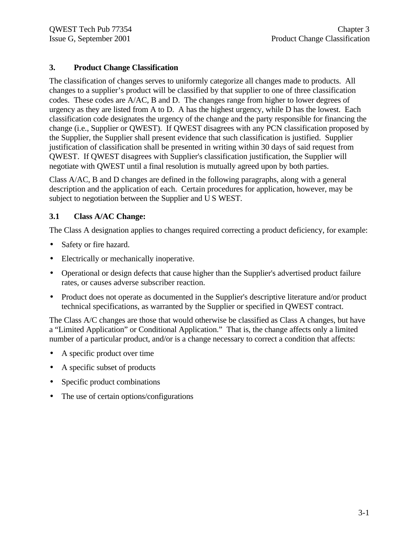#### **3. Product Change Classification**

The classification of changes serves to uniformly categorize all changes made to products. All changes to a supplier's product will be classified by that supplier to one of three classification codes. These codes are A/AC, B and D. The changes range from higher to lower degrees of urgency as they are listed from A to D. A has the highest urgency, while D has the lowest. Each classification code designates the urgency of the change and the party responsible for financing the change (i.e., Supplier or QWEST). If QWEST disagrees with any PCN classification proposed by the Supplier, the Supplier shall present evidence that such classification is justified. Supplier justification of classification shall be presented in writing within 30 days of said request from QWEST. If QWEST disagrees with Supplier's classification justification, the Supplier will negotiate with QWEST until a final resolution is mutually agreed upon by both parties.

Class A/AC, B and D changes are defined in the following paragraphs, along with a general description and the application of each. Certain procedures for application, however, may be subject to negotiation between the Supplier and U S WEST.

#### **3.1 Class A/AC Change:**

The Class A designation applies to changes required correcting a product deficiency, for example:

- Safety or fire hazard.
- Electrically or mechanically inoperative.
- Operational or design defects that cause higher than the Supplier's advertised product failure rates, or causes adverse subscriber reaction.
- Product does not operate as documented in the Supplier's descriptive literature and/or product technical specifications, as warranted by the Supplier or specified in QWEST contract.

The Class A/C changes are those that would otherwise be classified as Class A changes, but have a "Limited Application" or Conditional Application." That is, the change affects only a limited number of a particular product, and/or is a change necessary to correct a condition that affects:

- A specific product over time
- A specific subset of products
- Specific product combinations
- The use of certain options/configurations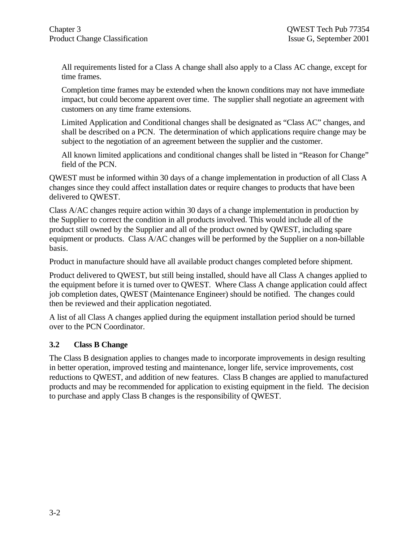All requirements listed for a Class A change shall also apply to a Class AC change, except for time frames.

Completion time frames may be extended when the known conditions may not have immediate impact, but could become apparent over time. The supplier shall negotiate an agreement with customers on any time frame extensions.

Limited Application and Conditional changes shall be designated as "Class AC" changes, and shall be described on a PCN. The determination of which applications require change may be subject to the negotiation of an agreement between the supplier and the customer.

All known limited applications and conditional changes shall be listed in "Reason for Change" field of the PCN.

QWEST must be informed within 30 days of a change implementation in production of all Class A changes since they could affect installation dates or require changes to products that have been delivered to QWEST.

Class A/AC changes require action within 30 days of a change implementation in production by the Supplier to correct the condition in all products involved. This would include all of the product still owned by the Supplier and all of the product owned by QWEST, including spare equipment or products. Class A/AC changes will be performed by the Supplier on a non-billable basis.

Product in manufacture should have all available product changes completed before shipment.

Product delivered to QWEST, but still being installed, should have all Class A changes applied to the equipment before it is turned over to QWEST. Where Class A change application could affect job completion dates, QWEST (Maintenance Engineer) should be notified. The changes could then be reviewed and their application negotiated.

A list of all Class A changes applied during the equipment installation period should be turned over to the PCN Coordinator.

#### **3.2 Class B Change**

The Class B designation applies to changes made to incorporate improvements in design resulting in better operation, improved testing and maintenance, longer life, service improvements, cost reductions to QWEST, and addition of new features. Class B changes are applied to manufactured products and may be recommended for application to existing equipment in the field. The decision to purchase and apply Class B changes is the responsibility of QWEST.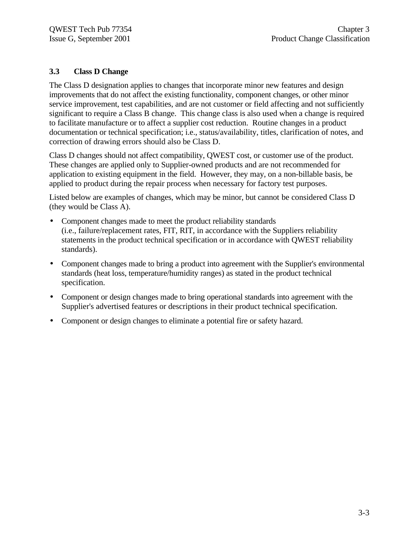#### **3.3 Class D Change**

The Class D designation applies to changes that incorporate minor new features and design improvements that do not affect the existing functionality, component changes, or other minor service improvement, test capabilities, and are not customer or field affecting and not sufficiently significant to require a Class B change. This change class is also used when a change is required to facilitate manufacture or to affect a supplier cost reduction. Routine changes in a product documentation or technical specification; i.e., status/availability, titles, clarification of notes, and correction of drawing errors should also be Class D.

Class D changes should not affect compatibility, QWEST cost, or customer use of the product. These changes are applied only to Supplier-owned products and are not recommended for application to existing equipment in the field. However, they may, on a non-billable basis, be applied to product during the repair process when necessary for factory test purposes.

Listed below are examples of changes, which may be minor, but cannot be considered Class D (they would be Class A).

- Component changes made to meet the product reliability standards (i.e., failure/replacement rates, FIT, RIT, in accordance with the Suppliers reliability statements in the product technical specification or in accordance with QWEST reliability standards).
- Component changes made to bring a product into agreement with the Supplier's environmental standards (heat loss, temperature/humidity ranges) as stated in the product technical specification.
- Component or design changes made to bring operational standards into agreement with the Supplier's advertised features or descriptions in their product technical specification.
- Component or design changes to eliminate a potential fire or safety hazard.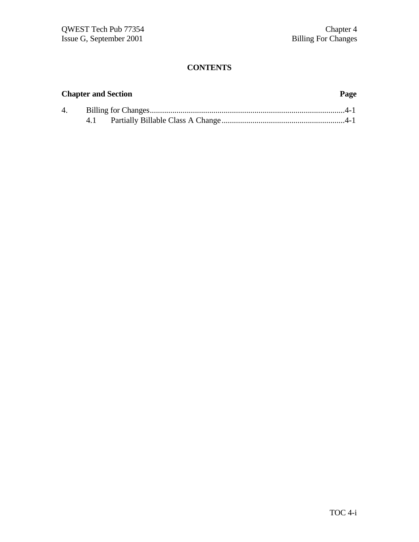# **Chapter and Section Page**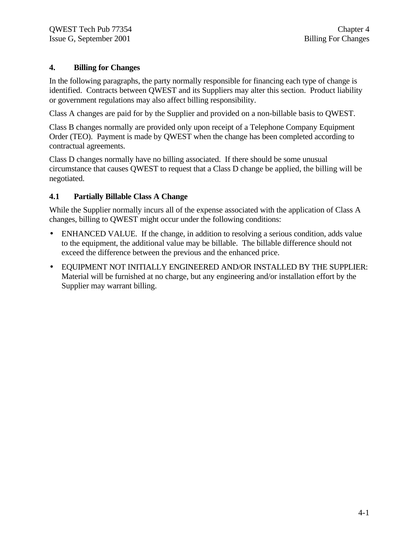#### **4. Billing for Changes**

In the following paragraphs, the party normally responsible for financing each type of change is identified. Contracts between QWEST and its Suppliers may alter this section. Product liability or government regulations may also affect billing responsibility.

Class A changes are paid for by the Supplier and provided on a non-billable basis to QWEST.

Class B changes normally are provided only upon receipt of a Telephone Company Equipment Order (TEO). Payment is made by QWEST when the change has been completed according to contractual agreements.

Class D changes normally have no billing associated. If there should be some unusual circumstance that causes QWEST to request that a Class D change be applied, the billing will be negotiated.

#### **4.1 Partially Billable Class A Change**

While the Supplier normally incurs all of the expense associated with the application of Class A changes, billing to QWEST might occur under the following conditions:

- ENHANCED VALUE. If the change, in addition to resolving a serious condition, adds value to the equipment, the additional value may be billable. The billable difference should not exceed the difference between the previous and the enhanced price.
- EQUIPMENT NOT INITIALLY ENGINEERED AND/OR INSTALLED BY THE SUPPLIER: Material will be furnished at no charge, but any engineering and/or installation effort by the Supplier may warrant billing.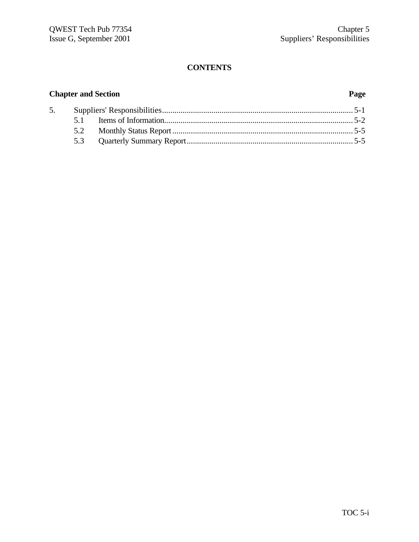# **Chapter and Section Page**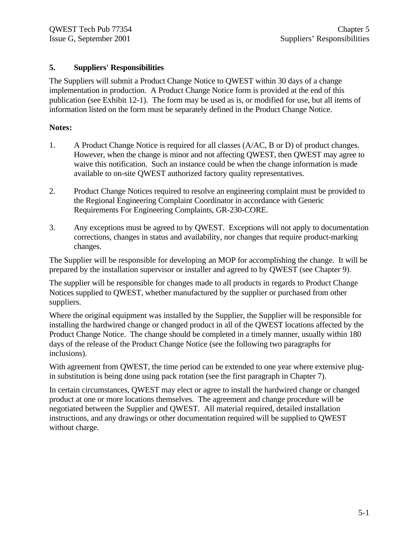#### **5. Suppliers' Responsibilities**

The Suppliers will submit a Product Change Notice to QWEST within 30 days of a change implementation in production. A Product Change Notice form is provided at the end of this publication (see Exhibit 12-1). The form may be used as is, or modified for use, but all items of information listed on the form must be separately defined in the Product Change Notice.

#### **Notes:**

- 1. A Product Change Notice is required for all classes (A/AC, B or D) of product changes. However, when the change is minor and not affecting QWEST, then QWEST may agree to waive this notification. Such an instance could be when the change information is made available to on-site QWEST authorized factory quality representatives.
- 2. Product Change Notices required to resolve an engineering complaint must be provided to the Regional Engineering Complaint Coordinator in accordance with Generic Requirements For Engineering Complaints, GR-230-CORE.
- 3. Any exceptions must be agreed to by QWEST. Exceptions will not apply to documentation corrections, changes in status and availability, nor changes that require product-marking changes.

The Supplier will be responsible for developing an MOP for accomplishing the change. It will be prepared by the installation supervisor or installer and agreed to by QWEST (see Chapter 9).

The supplier will be responsible for changes made to all products in regards to Product Change Notices supplied to QWEST, whether manufactured by the supplier or purchased from other suppliers.

Where the original equipment was installed by the Supplier, the Supplier will be responsible for installing the hardwired change or changed product in all of the QWEST locations affected by the Product Change Notice. The change should be completed in a timely manner, usually within 180 days of the release of the Product Change Notice (see the following two paragraphs for inclusions).

With agreement from QWEST, the time period can be extended to one year where extensive plugin substitution is being done using pack rotation (see the first paragraph in Chapter 7).

In certain circumstances, QWEST may elect or agree to install the hardwired change or changed product at one or more locations themselves. The agreement and change procedure will be negotiated between the Supplier and QWEST. All material required, detailed installation instructions, and any drawings or other documentation required will be supplied to QWEST without charge.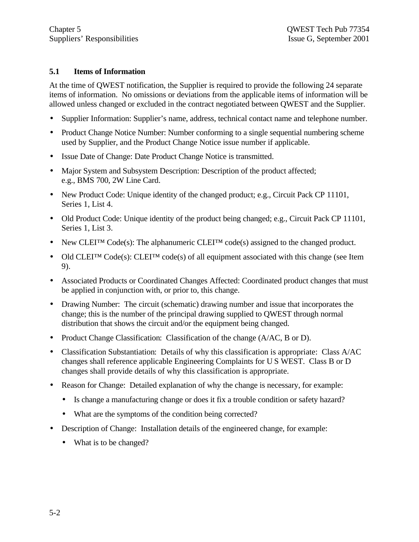#### **5.1 Items of Information**

At the time of QWEST notification, the Supplier is required to provide the following 24 separate items of information. No omissions or deviations from the applicable items of information will be allowed unless changed or excluded in the contract negotiated between QWEST and the Supplier.

- Supplier Information: Supplier's name, address, technical contact name and telephone number.
- Product Change Notice Number: Number conforming to a single sequential numbering scheme used by Supplier, and the Product Change Notice issue number if applicable.
- Issue Date of Change: Date Product Change Notice is transmitted.
- Major System and Subsystem Description: Description of the product affected; e.g., BMS 700, 2W Line Card.
- New Product Code: Unique identity of the changed product; e.g., Circuit Pack CP 11101, Series 1, List 4.
- Old Product Code: Unique identity of the product being changed; e.g., Circuit Pack CP 11101, Series 1, List 3.
- New CLEI<sup>TM</sup> Code(s): The alphanumeric CLEI<sup>TM</sup> code(s) assigned to the changed product.
- Old CLEITM Code(s): CLEITM code(s) of all equipment associated with this change (see Item 9).
- Associated Products or Coordinated Changes Affected: Coordinated product changes that must be applied in conjunction with, or prior to, this change.
- Drawing Number: The circuit (schematic) drawing number and issue that incorporates the change; this is the number of the principal drawing supplied to QWEST through normal distribution that shows the circuit and/or the equipment being changed.
- Product Change Classification: Classification of the change (A/AC, B or D).
- Classification Substantiation: Details of why this classification is appropriate: Class A/AC changes shall reference applicable Engineering Complaints for U S WEST. Class B or D changes shall provide details of why this classification is appropriate.
- Reason for Change: Detailed explanation of why the change is necessary, for example:
	- Is change a manufacturing change or does it fix a trouble condition or safety hazard?
	- What are the symptoms of the condition being corrected?
- Description of Change: Installation details of the engineered change, for example:
	- What is to be changed?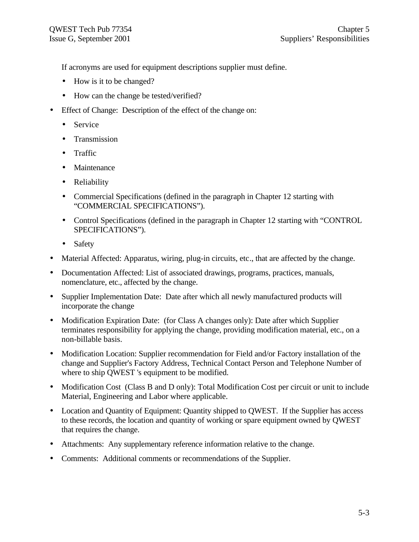If acronyms are used for equipment descriptions supplier must define.

- How is it to be changed?
- How can the change be tested/verified?
- Effect of Change: Description of the effect of the change on:
	- Service
	- Transmission
	- Traffic
	- Maintenance
	- Reliability
	- Commercial Specifications (defined in the paragraph in Chapter 12 starting with "COMMERCIAL SPECIFICATIONS").
	- Control Specifications (defined in the paragraph in Chapter 12 starting with "CONTROL" SPECIFICATIONS").
	- Safety
- Material Affected: Apparatus, wiring, plug-in circuits, etc., that are affected by the change.
- Documentation Affected: List of associated drawings, programs, practices, manuals, nomenclature, etc., affected by the change.
- Supplier Implementation Date: Date after which all newly manufactured products will incorporate the change
- Modification Expiration Date: (for Class A changes only): Date after which Supplier terminates responsibility for applying the change, providing modification material, etc., on a non-billable basis.
- Modification Location: Supplier recommendation for Field and/or Factory installation of the change and Supplier's Factory Address, Technical Contact Person and Telephone Number of where to ship QWEST 's equipment to be modified.
- Modification Cost (Class B and D only): Total Modification Cost per circuit or unit to include Material, Engineering and Labor where applicable.
- Location and Quantity of Equipment: Quantity shipped to QWEST. If the Supplier has access to these records, the location and quantity of working or spare equipment owned by QWEST that requires the change.
- Attachments: Any supplementary reference information relative to the change.
- Comments: Additional comments or recommendations of the Supplier.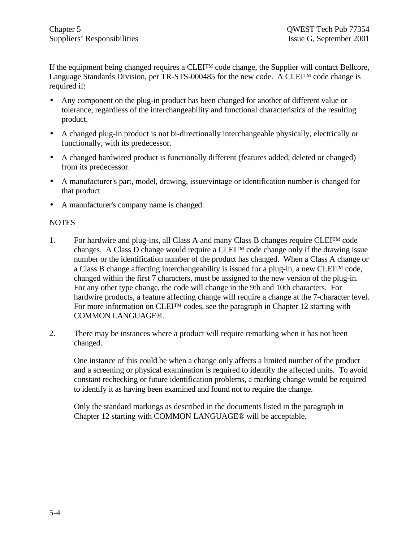If the equipment being changed requires a CLEI™ code change, the Supplier will contact Bellcore, Language Standards Division, per TR-STS-000485 for the new code. A CLEI™ code change is required if:

- Any component on the plug-in product has been changed for another of different value or tolerance, regardless of the interchangeability and functional characteristics of the resulting product.
- A changed plug-in product is not bi-directionally interchangeable physically, electrically or functionally, with its predecessor.
- A changed hardwired product is functionally different (features added, deleted or changed) from its predecessor.
- A manufacturer's part, model, drawing, issue/vintage or identification number is changed for that product
- A manufacturer's company name is changed.

#### **NOTES**

- 1. For hardwire and plug-ins, all Class A and many Class B changes require  $CLE<sup>TM</sup>$  code changes. A Class D change would require a  $CLE<sup>TM</sup>$  code change only if the drawing issue number or the identification number of the product has changed. When a Class A change or a Class B change affecting interchangeability is issued for a plug-in, a new CLEI™ code, changed within the first 7 characters, must be assigned to the new version of the plug-in. For any other type change, the code will change in the 9th and 10th characters. For hardwire products, a feature affecting change will require a change at the 7-character level. For more information on CLEI™ codes, see the paragraph in Chapter 12 starting with COMMON LANGUAGE®.
- 2. There may be instances where a product will require remarking when it has not been changed.

One instance of this could be when a change only affects a limited number of the product and a screening or physical examination is required to identify the affected units. To avoid constant rechecking or future identification problems, a marking change would be required to identify it as having been examined and found not to require the change.

Only the standard markings as described in the documents listed in the paragraph in Chapter 12 starting with COMMON LANGUAGE® will be acceptable.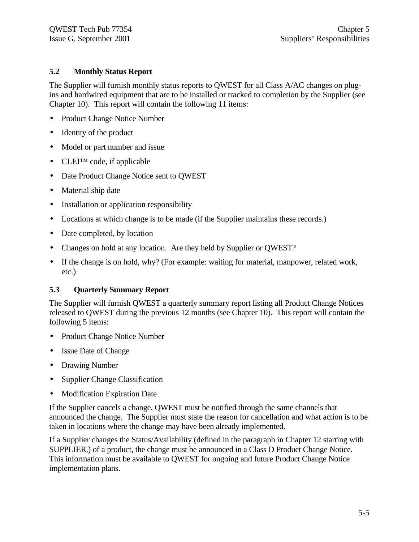#### **5.2 Monthly Status Report**

The Supplier will furnish monthly status reports to QWEST for all Class A/AC changes on plugins and hardwired equipment that are to be installed or tracked to completion by the Supplier (see Chapter 10). This report will contain the following 11 items:

- Product Change Notice Number
- Identity of the product
- Model or part number and issue
- CLEI™ code, if applicable
- Date Product Change Notice sent to QWEST
- Material ship date
- Installation or application responsibility
- Locations at which change is to be made (if the Supplier maintains these records.)
- Date completed, by location
- Changes on hold at any location. Are they held by Supplier or QWEST?
- If the change is on hold, why? (For example: waiting for material, manpower, related work, etc.)

#### **5.3 Quarterly Summary Report**

The Supplier will furnish QWEST a quarterly summary report listing all Product Change Notices released to QWEST during the previous 12 months (see Chapter 10). This report will contain the following 5 items:

- Product Change Notice Number
- Issue Date of Change
- Drawing Number
- Supplier Change Classification
- Modification Expiration Date

If the Supplier cancels a change, QWEST must be notified through the same channels that announced the change. The Supplier must state the reason for cancellation and what action is to be taken in locations where the change may have been already implemented.

If a Supplier changes the Status/Availability (defined in the paragraph in Chapter 12 starting with SUPPLIER.) of a product, the change must be announced in a Class D Product Change Notice. This information must be available to QWEST for ongoing and future Product Change Notice implementation plans.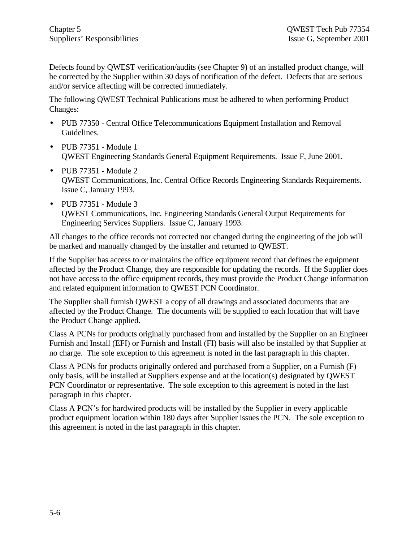Defects found by QWEST verification/audits (see Chapter 9) of an installed product change, will be corrected by the Supplier within 30 days of notification of the defect. Defects that are serious and/or service affecting will be corrected immediately.

The following QWEST Technical Publications must be adhered to when performing Product Changes:

- PUB 77350 Central Office Telecommunications Equipment Installation and Removal Guidelines.
- PUB 77351 Module 1 QWEST Engineering Standards General Equipment Requirements. Issue F, June 2001.
- PUB 77351 Module 2 QWEST Communications, Inc. Central Office Records Engineering Standards Requirements. Issue C, January 1993.
- PUB 77351 Module 3 QWEST Communications, Inc. Engineering Standards General Output Requirements for Engineering Services Suppliers. Issue C, January 1993.

All changes to the office records not corrected nor changed during the engineering of the job will be marked and manually changed by the installer and returned to QWEST.

If the Supplier has access to or maintains the office equipment record that defines the equipment affected by the Product Change, they are responsible for updating the records. If the Supplier does not have access to the office equipment records, they must provide the Product Change information and related equipment information to QWEST PCN Coordinator.

The Supplier shall furnish QWEST a copy of all drawings and associated documents that are affected by the Product Change. The documents will be supplied to each location that will have the Product Change applied.

Class A PCNs for products originally purchased from and installed by the Supplier on an Engineer Furnish and Install (EFI) or Furnish and Install (FI) basis will also be installed by that Supplier at no charge. The sole exception to this agreement is noted in the last paragraph in this chapter.

Class A PCNs for products originally ordered and purchased from a Supplier, on a Furnish (F) only basis, will be installed at Suppliers expense and at the location(s) designated by QWEST PCN Coordinator or representative. The sole exception to this agreement is noted in the last paragraph in this chapter.

Class A PCN's for hardwired products will be installed by the Supplier in every applicable product equipment location within 180 days after Supplier issues the PCN. The sole exception to this agreement is noted in the last paragraph in this chapter.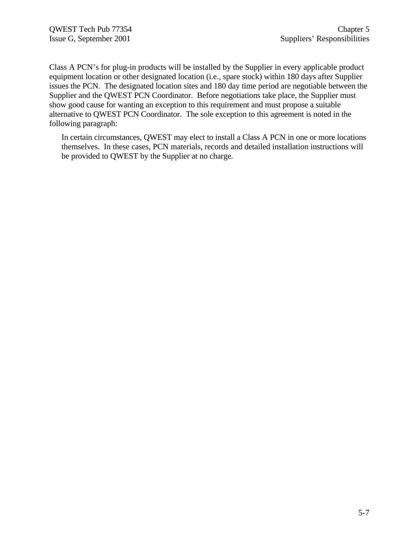Class A PCN's for plug-in products will be installed by the Supplier in every applicable product equipment location or other designated location (i.e., spare stock) within 180 days after Supplier issues the PCN. The designated location sites and 180 day time period are negotiable between the Supplier and the QWEST PCN Coordinator. Before negotiations take place, the Supplier must show good cause for wanting an exception to this requirement and must propose a suitable alternative to QWEST PCN Coordinator. The sole exception to this agreement is noted in the following paragraph:

In certain circumstances, QWEST may elect to install a Class A PCN in one or more locations themselves. In these cases, PCN materials, records and detailed installation instructions will be provided to QWEST by the Supplier at no charge.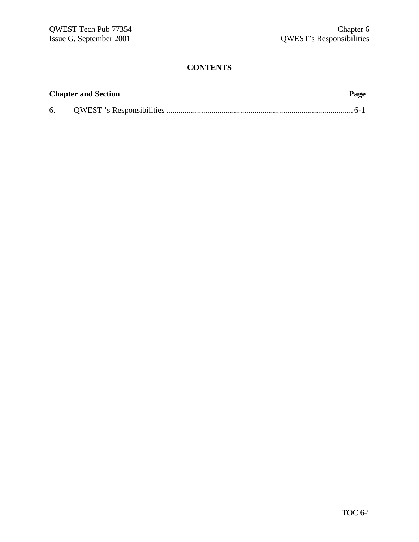| <b>Chapter and Section</b> | Page |
|----------------------------|------|
|                            |      |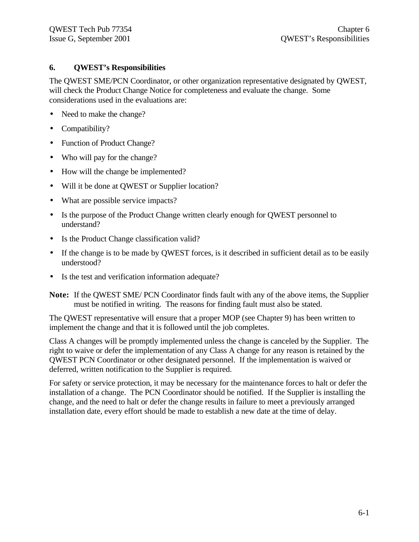#### **6. QWEST's Responsibilities**

The QWEST SME/PCN Coordinator, or other organization representative designated by QWEST, will check the Product Change Notice for completeness and evaluate the change. Some considerations used in the evaluations are:

- Need to make the change?
- Compatibility?
- Function of Product Change?
- Who will pay for the change?
- How will the change be implemented?
- Will it be done at QWEST or Supplier location?
- What are possible service impacts?
- Is the purpose of the Product Change written clearly enough for QWEST personnel to understand?
- Is the Product Change classification valid?
- If the change is to be made by OWEST forces, is it described in sufficient detail as to be easily understood?
- Is the test and verification information adequate?

**Note:** If the QWEST SME/ PCN Coordinator finds fault with any of the above items, the Supplier must be notified in writing. The reasons for finding fault must also be stated.

The QWEST representative will ensure that a proper MOP (see Chapter 9) has been written to implement the change and that it is followed until the job completes.

Class A changes will be promptly implemented unless the change is canceled by the Supplier. The right to waive or defer the implementation of any Class A change for any reason is retained by the QWEST PCN Coordinator or other designated personnel. If the implementation is waived or deferred, written notification to the Supplier is required.

For safety or service protection, it may be necessary for the maintenance forces to halt or defer the installation of a change. The PCN Coordinator should be notified. If the Supplier is installing the change, and the need to halt or defer the change results in failure to meet a previously arranged installation date, every effort should be made to establish a new date at the time of delay.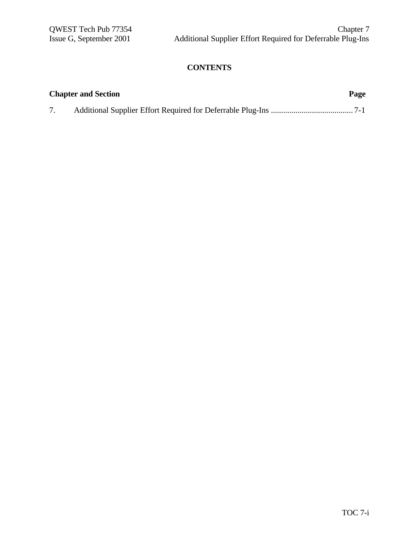| <b>Chapter and Section</b> | Page |
|----------------------------|------|
|                            |      |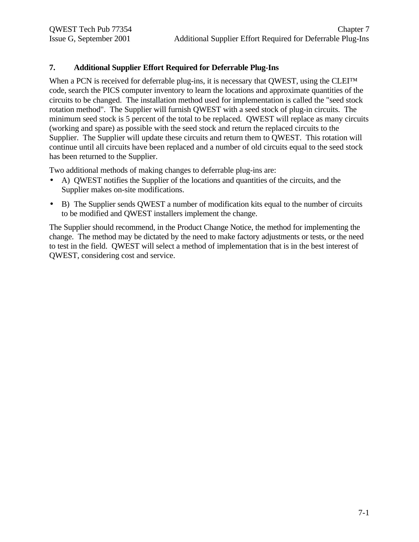### **7. Additional Supplier Effort Required for Deferrable Plug-Ins**

When a PCN is received for deferrable plug-ins, it is necessary that OWEST, using the CLEI™ code, search the PICS computer inventory to learn the locations and approximate quantities of the circuits to be changed. The installation method used for implementation is called the "seed stock rotation method". The Supplier will furnish QWEST with a seed stock of plug-in circuits. The minimum seed stock is 5 percent of the total to be replaced. QWEST will replace as many circuits (working and spare) as possible with the seed stock and return the replaced circuits to the Supplier. The Supplier will update these circuits and return them to QWEST. This rotation will continue until all circuits have been replaced and a number of old circuits equal to the seed stock has been returned to the Supplier.

Two additional methods of making changes to deferrable plug-ins are:

- A) QWEST notifies the Supplier of the locations and quantities of the circuits, and the Supplier makes on-site modifications.
- B) The Supplier sends QWEST a number of modification kits equal to the number of circuits to be modified and QWEST installers implement the change.

The Supplier should recommend, in the Product Change Notice, the method for implementing the change. The method may be dictated by the need to make factory adjustments or tests, or the need to test in the field. QWEST will select a method of implementation that is in the best interest of QWEST, considering cost and service.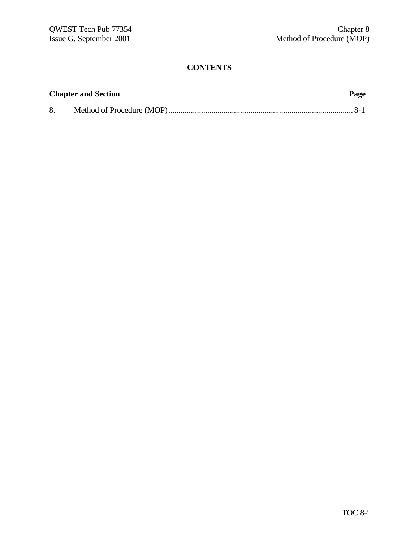| <b>Chapter and Section</b> | Page |
|----------------------------|------|
|                            |      |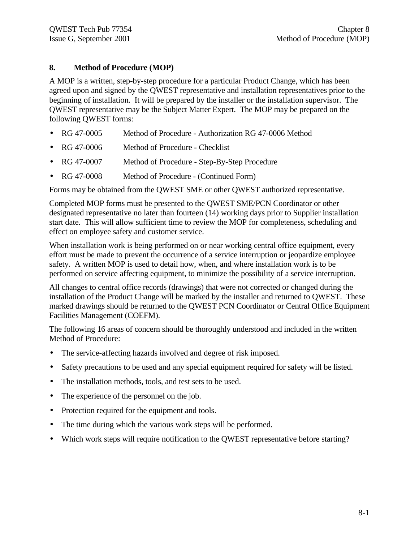### **8. Method of Procedure (MOP)**

A MOP is a written, step-by-step procedure for a particular Product Change, which has been agreed upon and signed by the QWEST representative and installation representatives prior to the beginning of installation. It will be prepared by the installer or the installation supervisor. The QWEST representative may be the Subject Matter Expert. The MOP may be prepared on the following QWEST forms:

- RG 47-0005 Method of Procedure Authorization RG 47-0006 Method
- RG 47-0006 Method of Procedure Checklist
- RG 47-0007 Method of Procedure Step-By-Step Procedure
- RG 47-0008 Method of Procedure (Continued Form)

Forms may be obtained from the QWEST SME or other QWEST authorized representative.

Completed MOP forms must be presented to the QWEST SME/PCN Coordinator or other designated representative no later than fourteen (14) working days prior to Supplier installation start date. This will allow sufficient time to review the MOP for completeness, scheduling and effect on employee safety and customer service.

When installation work is being performed on or near working central office equipment, every effort must be made to prevent the occurrence of a service interruption or jeopardize employee safety. A written MOP is used to detail how, when, and where installation work is to be performed on service affecting equipment, to minimize the possibility of a service interruption.

All changes to central office records (drawings) that were not corrected or changed during the installation of the Product Change will be marked by the installer and returned to QWEST. These marked drawings should be returned to the QWEST PCN Coordinator or Central Office Equipment Facilities Management (COEFM).

The following 16 areas of concern should be thoroughly understood and included in the written Method of Procedure:

- The service-affecting hazards involved and degree of risk imposed.
- Safety precautions to be used and any special equipment required for safety will be listed.
- The installation methods, tools, and test sets to be used.
- The experience of the personnel on the job.
- Protection required for the equipment and tools.
- The time during which the various work steps will be performed.
- Which work steps will require notification to the QWEST representative before starting?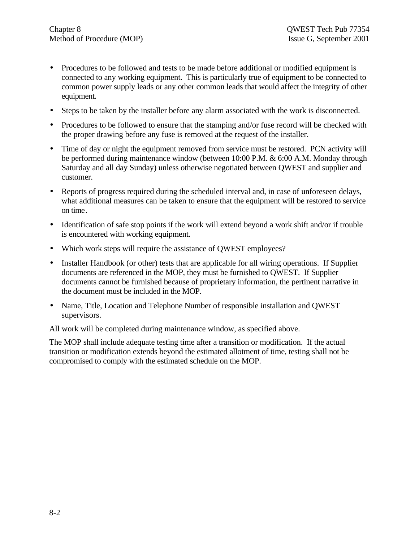- Procedures to be followed and tests to be made before additional or modified equipment is connected to any working equipment. This is particularly true of equipment to be connected to common power supply leads or any other common leads that would affect the integrity of other equipment.
- Steps to be taken by the installer before any alarm associated with the work is disconnected.
- Procedures to be followed to ensure that the stamping and/or fuse record will be checked with the proper drawing before any fuse is removed at the request of the installer.
- Time of day or night the equipment removed from service must be restored. PCN activity will be performed during maintenance window (between 10:00 P.M. & 6:00 A.M. Monday through Saturday and all day Sunday) unless otherwise negotiated between QWEST and supplier and customer.
- Reports of progress required during the scheduled interval and, in case of unforeseen delays, what additional measures can be taken to ensure that the equipment will be restored to service on time.
- Identification of safe stop points if the work will extend beyond a work shift and/or if trouble is encountered with working equipment.
- Which work steps will require the assistance of QWEST employees?
- Installer Handbook (or other) tests that are applicable for all wiring operations. If Supplier documents are referenced in the MOP, they must be furnished to QWEST. If Supplier documents cannot be furnished because of proprietary information, the pertinent narrative in the document must be included in the MOP.
- Name, Title, Location and Telephone Number of responsible installation and QWEST supervisors.

All work will be completed during maintenance window, as specified above.

The MOP shall include adequate testing time after a transition or modification. If the actual transition or modification extends beyond the estimated allotment of time, testing shall not be compromised to comply with the estimated schedule on the MOP.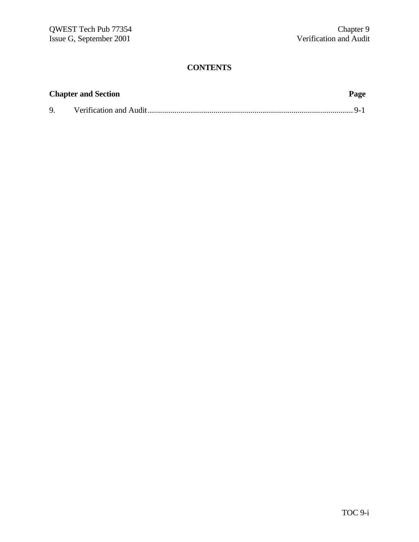|              | <b>Chapter and Section</b> | Page |
|--------------|----------------------------|------|
| $\mathbf{Q}$ |                            |      |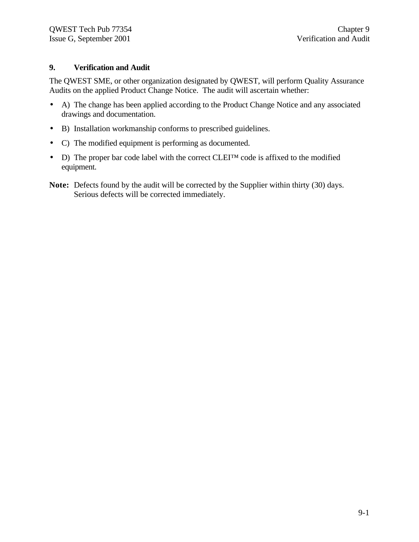#### **9. Verification and Audit**

The QWEST SME, or other organization designated by QWEST, will perform Quality Assurance Audits on the applied Product Change Notice. The audit will ascertain whether:

- A) The change has been applied according to the Product Change Notice and any associated drawings and documentation.
- B) Installation workmanship conforms to prescribed guidelines.
- C) The modified equipment is performing as documented.
- D) The proper bar code label with the correct CLEI<sup>TM</sup> code is affixed to the modified equipment.
- **Note:** Defects found by the audit will be corrected by the Supplier within thirty (30) days. Serious defects will be corrected immediately.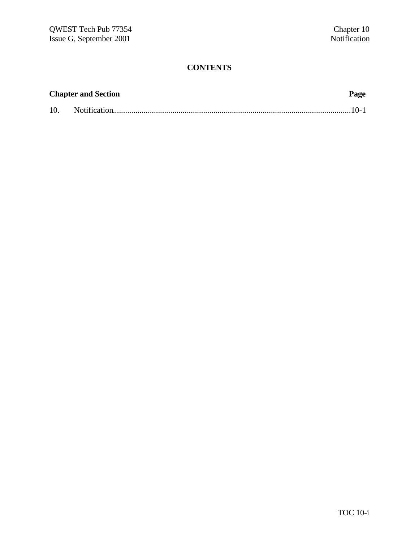|     | <b>Chapter and Section</b> | Page |
|-----|----------------------------|------|
| 10. |                            |      |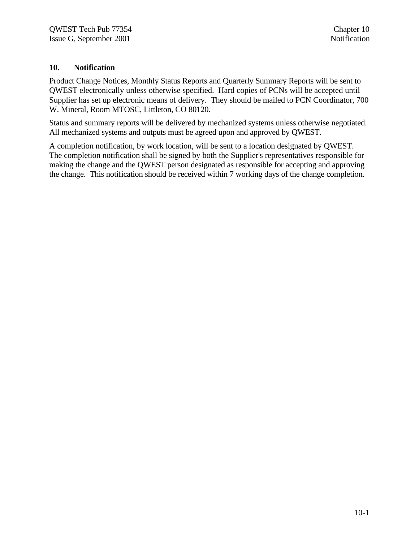#### **10. Notification**

Product Change Notices, Monthly Status Reports and Quarterly Summary Reports will be sent to QWEST electronically unless otherwise specified. Hard copies of PCNs will be accepted until Supplier has set up electronic means of delivery. They should be mailed to PCN Coordinator, 700 W. Mineral, Room MTOSC, Littleton, CO 80120.

Status and summary reports will be delivered by mechanized systems unless otherwise negotiated. All mechanized systems and outputs must be agreed upon and approved by QWEST.

A completion notification, by work location, will be sent to a location designated by QWEST. The completion notification shall be signed by both the Supplier's representatives responsible for making the change and the QWEST person designated as responsible for accepting and approving the change. This notification should be received within 7 working days of the change completion.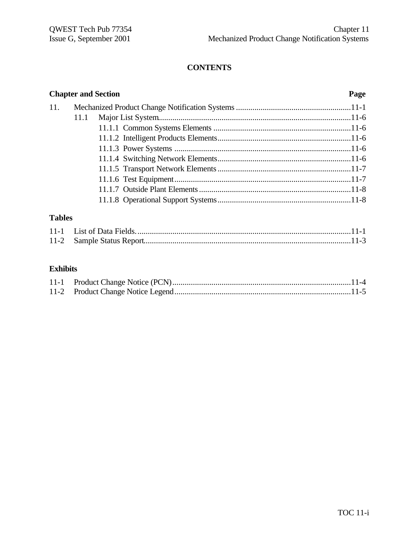|     | <b>Chapter and Section</b> | Page |
|-----|----------------------------|------|
| 11. |                            |      |
|     | 11.1                       |      |
|     |                            |      |
|     |                            |      |
|     |                            |      |
|     |                            |      |
|     |                            |      |
|     |                            |      |
|     |                            |      |
|     |                            |      |
|     |                            |      |

# **Tables**

# **Exhibits**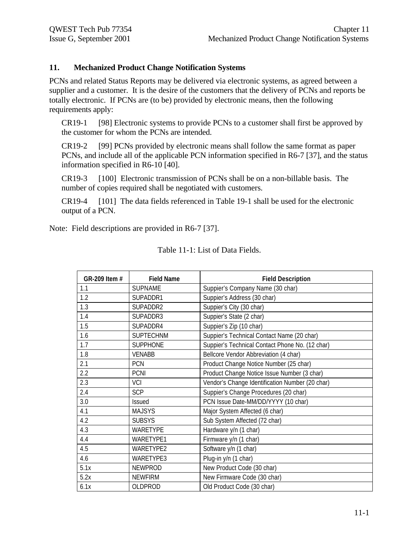#### **11. Mechanized Product Change Notification Systems**

PCNs and related Status Reports may be delivered via electronic systems, as agreed between a supplier and a customer. It is the desire of the customers that the delivery of PCNs and reports be totally electronic. If PCNs are (to be) provided by electronic means, then the following requirements apply:

CR19-1 [98] Electronic systems to provide PCNs to a customer shall first be approved by the customer for whom the PCNs are intended.

CR19-2 [99] PCNs provided by electronic means shall follow the same format as paper PCNs, and include all of the applicable PCN information specified in R6-7 [37], and the status information specified in R6-10 [40].

CR19-3 [100] Electronic transmission of PCNs shall be on a non-billable basis. The number of copies required shall be negotiated with customers.

CR19-4 [101] The data fields referenced in Table 19-1 shall be used for the electronic output of a PCN.

Note: Field descriptions are provided in R6-7 [37].

| GR-209 Item # | <b>Field Name</b> | <b>Field Description</b>                        |
|---------------|-------------------|-------------------------------------------------|
| 1.1           | <b>SUPNAME</b>    | Suppier's Company Name (30 char)                |
| 1.2           | SUPADDR1          | Suppier's Address (30 char)                     |
| 1.3           | SUPADDR2          | Suppier's City (30 char)                        |
| 1.4           | SUPADDR3          | Suppier's State (2 char)                        |
| 1.5           | SUPADDR4          | Suppier's Zip (10 char)                         |
| 1.6           | <b>SUPTECHNM</b>  | Suppier's Technical Contact Name (20 char)      |
| 1.7           | <b>SUPPHONE</b>   | Suppier's Technical Contact Phone No. (12 char) |
| 1.8           | <b>VENABB</b>     | Bellcore Vendor Abbreviation (4 char)           |
| 2.1           | PCN               | Product Change Notice Number (25 char)          |
| 2.2           | <b>PCNI</b>       | Product Change Notice Issue Number (3 char)     |
| 2.3           | VCI               | Vendor's Change Identification Number (20 char) |
| 2.4           | <b>SCP</b>        | Suppier's Change Procedures (20 char)           |
| 3.0           | Issued            | PCN Issue Date-MM/DD/YYYY (10 char)             |
| 4.1           | <b>MAJSYS</b>     | Major System Affected (6 char)                  |
| 4.2           | <b>SUBSYS</b>     | Sub System Affected (72 char)                   |
| 4.3           | WARETYPE          | Hardware y/n (1 char)                           |
| 4.4           | <b>WARETYPE1</b>  | Firmware y/n (1 char)                           |
| 4.5           | <b>WARETYPE2</b>  | Software y/n (1 char)                           |
| 4.6           | WARETYPE3         | Plug-in y/n (1 char)                            |
| 5.1x          | <b>NEWPROD</b>    | New Product Code (30 char)                      |
| 5.2x          | <b>NEWFIRM</b>    | New Firmware Code (30 char)                     |
| 6.1x          | OLDPROD           | Old Product Code (30 char)                      |

Table 11-1: List of Data Fields.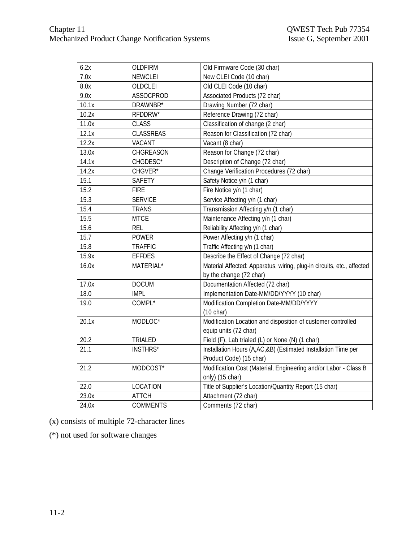| 6.2x              | <b>OLDFIRM</b>  | Old Firmware Code (30 char)                                                                       |
|-------------------|-----------------|---------------------------------------------------------------------------------------------------|
| 7.0x              | <b>NEWCLEI</b>  | New CLEI Code (10 char)                                                                           |
| 8.0x              | OLDCLEI         | Old CLEI Code (10 char)                                                                           |
| 9.0x              | ASSOCPROD       | Associated Products (72 char)                                                                     |
| 10.1x             | DRAWNBR*        | Drawing Number (72 char)                                                                          |
| 10.2x             | RFDDRW*         | Reference Drawing (72 char)                                                                       |
| 11.0x             | <b>CLASS</b>    | Classification of change (2 char)                                                                 |
| 12.1x             | CLASSREAS       | Reason for Classification (72 char)                                                               |
| 12.2x             | VACANT          | Vacant (8 char)                                                                                   |
| 13.0x             | CHGREASON       | Reason for Change (72 char)                                                                       |
| 14.1x             | CHGDESC*        | Description of Change (72 char)                                                                   |
| 14.2x             | CHGVER*         | Change Verification Procedures (72 char)                                                          |
| 15.1              | SAFETY          | Safety Notice y/n (1 char)                                                                        |
| 15.2              | <b>FIRE</b>     | Fire Notice y/n (1 char)                                                                          |
| 15.3              | <b>SERVICE</b>  | Service Affecting y/n (1 char)                                                                    |
| 15.4              | <b>TRANS</b>    | Transmission Affecting y/n (1 char)                                                               |
| 15.5              | <b>MTCE</b>     | Maintenance Affecting y/n (1 char)                                                                |
| 15.6              | <b>REL</b>      | Reliability Affecting y/n (1 char)                                                                |
| 15.7              | <b>POWER</b>    | Power Affecting y/n (1 char)                                                                      |
| 15.8              | <b>TRAFFIC</b>  | Traffic Affecting y/n (1 char)                                                                    |
| 15.9x             | <b>EFFDES</b>   | Describe the Effect of Change (72 char)                                                           |
| 16.0x             | MATERIAL*       | Material Affected: Apparatus, wiring, plug-in circuits, etc., affected<br>by the change (72 char) |
| 17.0x             | <b>DOCUM</b>    | Documentation Affected (72 char)                                                                  |
| 18.0              | <b>IMPL</b>     | Implementation Date-MM/DD/YYYY (10 char)                                                          |
| 19.0              | COMPL*          | Modification Completion Date-MM/DD/YYYY<br>$(10 \text{ char})$                                    |
| 20.1x             | MODLOC*         | Modification Location and disposition of customer controlled<br>equip units (72 char)             |
| 20.2              | TRIALED         | Field (F), Lab trialed (L) or None (N) (1 char)                                                   |
| $\overline{21.1}$ | <b>INSTHRS*</b> | Installation Hours (A,AC,&B) (Estimated Installation Time per                                     |
|                   |                 | Product Code) (15 char)                                                                           |
| 21.2              | MODCOST*        | Modification Cost (Material, Engineering and/or Labor - Class B<br>only) (15 char)                |
| 22.0              | LOCATION        | Title of Supplier's Location/Quantity Report (15 char)                                            |
| 23.0x             | <b>ATTCH</b>    | Attachment (72 char)                                                                              |
| 24.0x             | COMMENTS        | Comments (72 char)                                                                                |

(x) consists of multiple 72-character lines

(\*) not used for software changes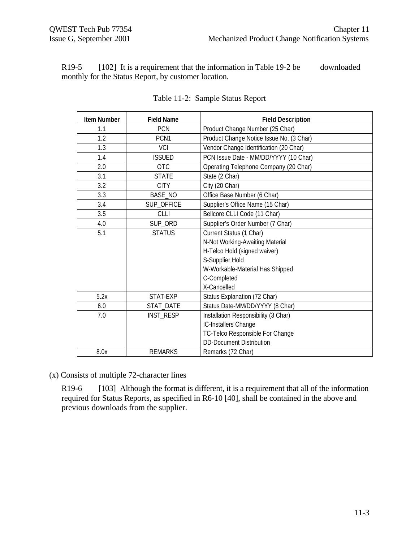R19-5 [102] It is a requirement that the information in Table 19-2 be downloaded monthly for the Status Report, by customer location.

| <b>Item Number</b> | <b>Field Name</b> | <b>Field Description</b>                 |
|--------------------|-------------------|------------------------------------------|
| 1.1                | <b>PCN</b>        | Product Change Number (25 Char)          |
| 1.2                | PCN <sub>1</sub>  | Product Change Notice Issue No. (3 Char) |
| 1.3                | <b>VCI</b>        | Vendor Change Identification (20 Char)   |
| 1.4                | <b>ISSUED</b>     | PCN Issue Date - MM/DD/YYYY (10 Char)    |
| 2.0                | <b>OTC</b>        | Operating Telephone Company (20 Char)    |
| 3.1                | <b>STATE</b>      | State (2 Char)                           |
| 3.2                | <b>CITY</b>       | City (20 Char)                           |
| 3.3                | <b>BASE_NO</b>    | Office Base Number (6 Char)              |
| 3.4                | SUP_OFFICE        | Supplier's Office Name (15 Char)         |
| 3.5                | CLLI              | Bellcore CLLI Code (11 Char)             |
| 4.0                | SUP_ORD           | Supplier's Order Number (7 Char)         |
| 5.1                | <b>STATUS</b>     | Current Status (1 Char)                  |
|                    |                   | N-Not Working-Awaiting Material          |
|                    |                   | H-Telco Hold (signed waiver)             |
|                    |                   | S-Supplier Hold                          |
|                    |                   | W-Workable-Material Has Shipped          |
|                    |                   | C-Completed                              |
|                    |                   | X-Cancelled                              |
| 5.2x               | STAT-EXP          | Status Explanation (72 Char)             |
| 6.0                | STAT_DATE         | Status Date-MM/DD/YYYY (8 Char)          |
| 7.0                | <b>INST_RESP</b>  | Installation Responsibility (3 Char)     |
|                    |                   | IC-Installers Change                     |
|                    |                   | TC-Telco Responsible For Change          |
|                    |                   | <b>DD-Document Distribution</b>          |
| 8.0x               | <b>REMARKS</b>    | Remarks (72 Char)                        |

#### Table 11-2: Sample Status Report

(x) Consists of multiple 72-character lines

R19-6 [103] Although the format is different, it is a requirement that all of the information required for Status Reports, as specified in R6-10 [40], shall be contained in the above and previous downloads from the supplier.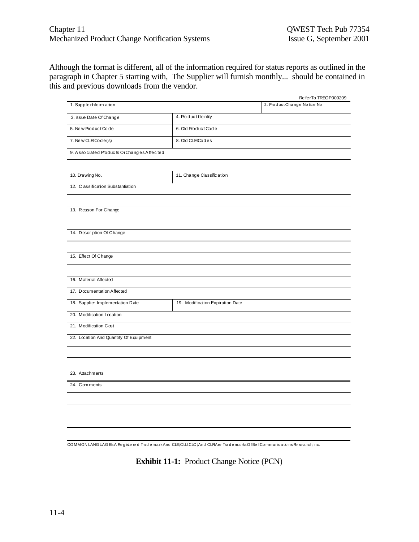Although the format is different, all of the information required for status reports as outlined in the paragraph in Chapter 5 starting with, The Supplier will furnish monthly... should be contained in this and previous downloads from the vendor.

|                                           |                                  | ReferTo TREOP000209          |
|-------------------------------------------|----------------------------------|------------------------------|
| 1. Supplie rhform a tion                  |                                  | 2. ProductChange No tice No. |
| 3. Issue Date Of Change                   | 4. Product bentity               |                              |
| 5. New Product Code                       | 6. Old Product Code              |                              |
| 7. New CLEICode(s)                        | 8. Old CLEICodes                 |                              |
| 9. Associated Products OrChanges Affected |                                  |                              |
|                                           |                                  |                              |
| 10. Drawing No.                           | 11. Change Classification        |                              |
| 12. Classification Substantiation         |                                  |                              |
|                                           |                                  |                              |
| 13. Reason For Change                     |                                  |                              |
| 14. Description Of Change                 |                                  |                              |
|                                           |                                  |                              |
| 15. Effect Of Change                      |                                  |                              |
|                                           |                                  |                              |
| 16. Material Affected                     |                                  |                              |
| 17. Documentation Affected                |                                  |                              |
| 18. Supplier Implementation Date          | 19. Modification Expiration Date |                              |
| 20. Modification Location                 |                                  |                              |
| 21. Modification Cost                     |                                  |                              |
| 22. Location And Quantity Of Equipment    |                                  |                              |
|                                           |                                  |                              |
|                                           |                                  |                              |
| 23. Attachments                           |                                  |                              |
| 24. Comments                              |                                  |                              |
|                                           |                                  |                              |
|                                           |                                  |                              |
|                                           |                                  |                              |
|                                           |                                  |                              |
|                                           |                                  |                              |

CO MMON LANG UAG EIsA Re g iste re d Tra d e ma rkAnd CLEI,CLLI,CLCI,And CLFIAre Tra d e ma rksO fBe llCo mmunica tio nsRe se a rch,Inc.

**Exhibit 11-1:** Product Change Notice (PCN)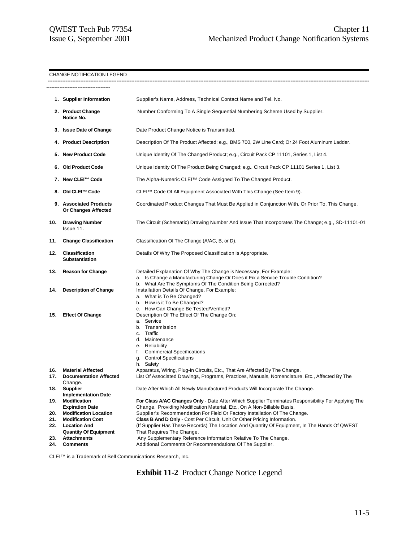#### CHANGE NOTIFICATION LEGEND

|                          | 1. Supplier Information                                                                                                                                                                        | Supplier's Name, Address, Technical Contact Name and Tel. No.                                                                                                                                                                                                                                                                                                                                                                                                          |
|--------------------------|------------------------------------------------------------------------------------------------------------------------------------------------------------------------------------------------|------------------------------------------------------------------------------------------------------------------------------------------------------------------------------------------------------------------------------------------------------------------------------------------------------------------------------------------------------------------------------------------------------------------------------------------------------------------------|
|                          | 2. Product Change<br>Notice No.                                                                                                                                                                | Number Conforming To A Single Sequential Numbering Scheme Used by Supplier.                                                                                                                                                                                                                                                                                                                                                                                            |
|                          | 3. Issue Date of Change                                                                                                                                                                        | Date Product Change Notice is Transmitted.                                                                                                                                                                                                                                                                                                                                                                                                                             |
|                          | 4. Product Description                                                                                                                                                                         | Description Of The Product Affected; e.g., BMS 700, 2W Line Card; Or 24 Foot Aluminum Ladder.                                                                                                                                                                                                                                                                                                                                                                          |
|                          | 5. New Product Code                                                                                                                                                                            | Unique Identity Of The Changed Product; e.g., Circuit Pack CP 11101, Series 1, List 4.                                                                                                                                                                                                                                                                                                                                                                                 |
|                          | 6. Old Product Code                                                                                                                                                                            | Unique Identity Of The Product Being Changed; e.g., Circuit Pack CP 11101 Series 1, List 3.                                                                                                                                                                                                                                                                                                                                                                            |
|                          | 7. New CLEI™ Code                                                                                                                                                                              | The Alpha-Numeric CLEI™ Code Assigned To The Changed Product.                                                                                                                                                                                                                                                                                                                                                                                                          |
|                          | 8. Old CLEI™ Code                                                                                                                                                                              | CLEI™ Code Of All Equipment Associated With This Change (See Item 9).                                                                                                                                                                                                                                                                                                                                                                                                  |
|                          | 9. Associated Products<br><b>Or Changes Affected</b>                                                                                                                                           | Coordinated Product Changes That Must Be Applied in Conjunction With, Or Prior To, This Change.                                                                                                                                                                                                                                                                                                                                                                        |
| 10.                      | <b>Drawing Number</b><br>Issue 11.                                                                                                                                                             | The Circuit (Schematic) Drawing Number And Issue That Incorporates The Change; e.g., SD-11101-01                                                                                                                                                                                                                                                                                                                                                                       |
| 11.                      | <b>Change Classification</b>                                                                                                                                                                   | Classification Of The Change (A/AC, B, or D).                                                                                                                                                                                                                                                                                                                                                                                                                          |
| 12.                      | <b>Classification</b><br>Substantiation                                                                                                                                                        | Details Of Why The Proposed Classification is Appropriate.                                                                                                                                                                                                                                                                                                                                                                                                             |
| 13.                      | <b>Reason for Change</b>                                                                                                                                                                       | Detailed Explanation Of Why The Change is Necessary, For Example:<br>a. Is Change a Manufacturing Change Or Does it Fix a Service Trouble Condition?<br>b. What Are The Symptoms Of The Condition Being Corrected?                                                                                                                                                                                                                                                     |
|                          |                                                                                                                                                                                                |                                                                                                                                                                                                                                                                                                                                                                                                                                                                        |
| 14.                      | <b>Description of Change</b>                                                                                                                                                                   | Installation Details Of Change, For Example:<br>a. What is To Be Changed?<br>b. How is it To Be Changed?<br>c. How Can Change Be Tested/Verified?                                                                                                                                                                                                                                                                                                                      |
| 15.                      | <b>Effect Of Change</b>                                                                                                                                                                        | Description Of The Effect Of The Change On:<br>a. Service<br>b. Transmission<br>c. Traffic<br>d. Maintenance<br>e. Reliability<br>f. Commercial Specifications<br>g. Control Specifications<br>h. Safety                                                                                                                                                                                                                                                               |
| 16.                      | <b>Material Affected</b>                                                                                                                                                                       | Apparatus, Wiring, Plug-In Circuits, Etc., That Are Affected By The Change.                                                                                                                                                                                                                                                                                                                                                                                            |
| 17.<br>18.               | <b>Documentation Affected</b><br>Change.<br><b>Supplier</b>                                                                                                                                    | List Of Associated Drawings, Programs, Practices, Manuals, Nomenclature, Etc., Affected By The<br>Date After Which All Newly Manufactured Products Will Incorporate The Change.                                                                                                                                                                                                                                                                                        |
| 19.<br>20.<br>21.<br>22. | <b>Implementation Date</b><br><b>Modification</b><br><b>Expiration Date</b><br><b>Modification Location</b><br><b>Modification Cost</b><br><b>Location And</b><br><b>Quantity Of Equipment</b> | For Class A/AC Changes Only - Date After Which Supplier Terminates Responsibility For Applying The<br>Change, Providing Modification Material, Etc., On A Non-Billable Basis.<br>Supplier's Recommendation For Field Or Factory Installation Of The Change.<br>Class B And D Only - Cost Per Circuit, Unit Or Other Pricing Information.<br>(If Supplier Has These Records) The Location And Quantity Of Equipment, In The Hands Of QWEST<br>That Requires The Change. |

CLEI™ is a Trademark of Bell Communications Research, Inc.

**Exhibit 11-2** Product Change Notice Legend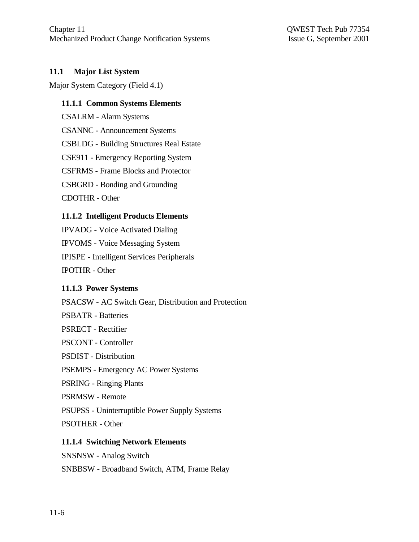### **11.1 Major List System**

Major System Category (Field 4.1)

#### **11.1.1 Common Systems Elements**

CSALRM - Alarm Systems

CSANNC - Announcement Systems

CSBLDG - Building Structures Real Estate

CSE911 - Emergency Reporting System

CSFRMS - Frame Blocks and Protector

CSBGRD - Bonding and Grounding

CDOTHR - Other

#### **11.1.2 Intelligent Products Elements**

IPVADG - Voice Activated Dialing IPVOMS - Voice Messaging System IPISPE - Intelligent Services Peripherals IPOTHR - Other

#### **11.1.3 Power Systems**

PSACSW - AC Switch Gear, Distribution and Protection

PSBATR - Batteries

PSRECT - Rectifier

PSCONT - Controller

PSDIST - Distribution

PSEMPS - Emergency AC Power Systems

PSRING - Ringing Plants

PSRMSW - Remote

PSUPSS - Uninterruptible Power Supply Systems

PSOTHER - Other

#### **11.1.4 Switching Network Elements**

SNSNSW - Analog Switch

SNBBSW - Broadband Switch, ATM, Frame Relay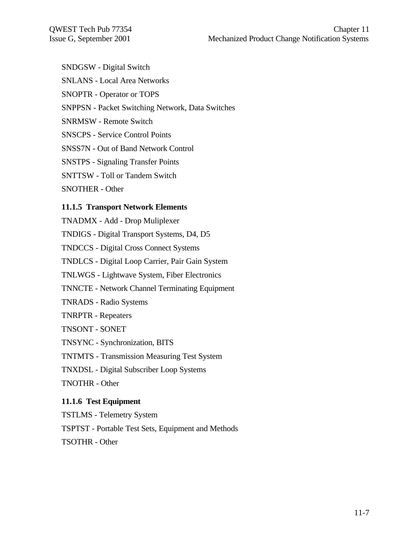- SNDGSW Digital Switch
- SNLANS Local Area Networks
- SNOPTR Operator or TOPS
- SNPPSN Packet Switching Network, Data Switches
- SNRMSW Remote Switch
- SNSCPS Service Control Points
- SNSS7N Out of Band Network Control
- SNSTPS Signaling Transfer Points
- SNTTSW Toll or Tandem Switch
- SNOTHER Other

#### **11.1.5 Transport Network Elements**

- TNADMX Add Drop Muliplexer
- TNDIGS Digital Transport Systems, D4, D5
- TNDCCS Digital Cross Connect Systems
- TNDLCS Digital Loop Carrier, Pair Gain System
- TNLWGS Lightwave System, Fiber Electronics
- TNNCTE Network Channel Terminating Equipment
- TNRADS Radio Systems
- TNRPTR Repeaters
- TNSONT SONET
- TNSYNC Synchronization, BITS
- TNTMTS Transmission Measuring Test System
- TNXDSL Digital Subscriber Loop Systems
- TNOTHR Other

# **11.1.6 Test Equipment**

- TSTLMS Telemetry System
- TSPTST Portable Test Sets, Equipment and Methods
- TSOTHR Other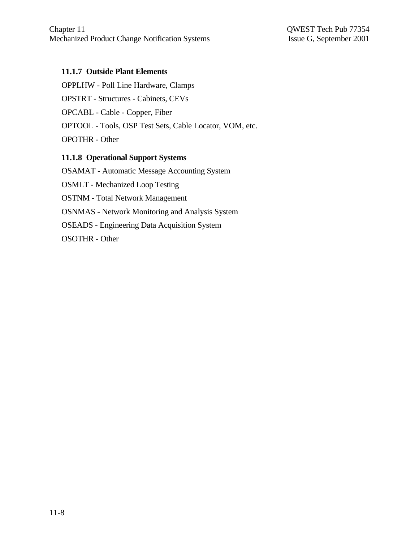#### **11.1.7 Outside Plant Elements**

OPPLHW - Poll Line Hardware, Clamps OPSTRT - Structures - Cabinets, CEVs OPCABL - Cable - Copper, Fiber OPTOOL - Tools, OSP Test Sets, Cable Locator, VOM, etc. OPOTHR - Other

### **11.1.8 Operational Support Systems**

OSAMAT - Automatic Message Accounting System OSMLT - Mechanized Loop Testing OSTNM - Total Network Management OSNMAS - Network Monitoring and Analysis System OSEADS - Engineering Data Acquisition System OSOTHR - Other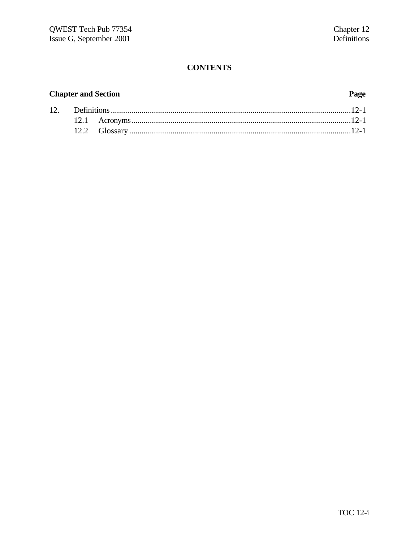# **Chapter and Section**

#### Page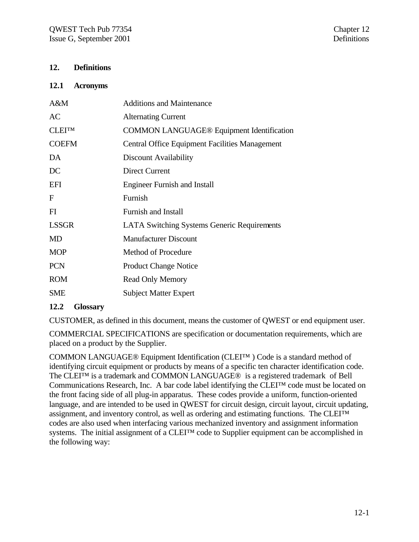#### **12. Definitions**

#### **12.1 Acronyms**

| A&M           | <b>Additions and Maintenance</b>                      |
|---------------|-------------------------------------------------------|
| AC            | <b>Alternating Current</b>                            |
| <b>CLEITM</b> | <b>COMMON LANGUAGE® Equipment Identification</b>      |
| <b>COEFM</b>  | <b>Central Office Equipment Facilities Management</b> |
| DA            | Discount Availability                                 |
| DC            | Direct Current                                        |
| <b>EFI</b>    | <b>Engineer Furnish and Install</b>                   |
| F             | Furnish                                               |
| FI            | <b>Furnish and Install</b>                            |
| <b>LSSGR</b>  | <b>LATA Switching Systems Generic Requirements</b>    |
| <b>MD</b>     | <b>Manufacturer Discount</b>                          |
| <b>MOP</b>    | <b>Method of Procedure</b>                            |
| <b>PCN</b>    | <b>Product Change Notice</b>                          |
| <b>ROM</b>    | <b>Read Only Memory</b>                               |
| SME           | <b>Subject Matter Expert</b>                          |
|               |                                                       |

#### **12.2 Glossary**

CUSTOMER, as defined in this document, means the customer of QWEST or end equipment user.

COMMERCIAL SPECIFICATIONS are specification or documentation requirements, which are placed on a product by the Supplier.

COMMON LANGUAGE® Equipment Identification (CLEI™ ) Code is a standard method of identifying circuit equipment or products by means of a specific ten character identification code. The CLEI™ is a trademark and COMMON LANGUAGE® is a registered trademark of Bell Communications Research, Inc. A bar code label identifying the CLEI™ code must be located on the front facing side of all plug-in apparatus. These codes provide a uniform, function-oriented language, and are intended to be used in QWEST for circuit design, circuit layout, circuit updating, assignment, and inventory control, as well as ordering and estimating functions. The CLEI™ codes are also used when interfacing various mechanized inventory and assignment information systems. The initial assignment of a CLEI™ code to Supplier equipment can be accomplished in the following way: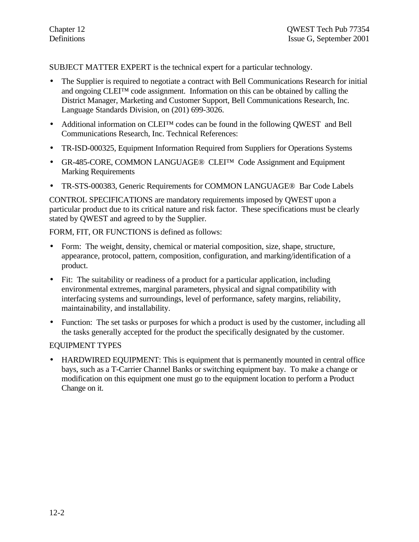SUBJECT MATTER EXPERT is the technical expert for a particular technology.

- The Supplier is required to negotiate a contract with Bell Communications Research for initial and ongoing CLEI™ code assignment. Information on this can be obtained by calling the District Manager, Marketing and Customer Support, Bell Communications Research, Inc. Language Standards Division, on (201) 699-3026.
- Additional information on CLEITM codes can be found in the following QWEST and Bell Communications Research, Inc. Technical References:
- TR-ISD-000325, Equipment Information Required from Suppliers for Operations Systems
- GR-485-CORE, COMMON LANGUAGE® CLEITM Code Assignment and Equipment Marking Requirements
- TR-STS-000383, Generic Requirements for COMMON LANGUAGE® Bar Code Labels

CONTROL SPECIFICATIONS are mandatory requirements imposed by QWEST upon a particular product due to its critical nature and risk factor. These specifications must be clearly stated by QWEST and agreed to by the Supplier.

FORM, FIT, OR FUNCTIONS is defined as follows:

- Form: The weight, density, chemical or material composition, size, shape, structure, appearance, protocol, pattern, composition, configuration, and marking/identification of a product.
- Fit: The suitability or readiness of a product for a particular application, including environmental extremes, marginal parameters, physical and signal compatibility with interfacing systems and surroundings, level of performance, safety margins, reliability, maintainability, and installability.
- Function: The set tasks or purposes for which a product is used by the customer, including all the tasks generally accepted for the product the specifically designated by the customer.

#### EQUIPMENT TYPES

• HARDWIRED EQUIPMENT: This is equipment that is permanently mounted in central office bays, such as a T-Carrier Channel Banks or switching equipment bay. To make a change or modification on this equipment one must go to the equipment location to perform a Product Change on it.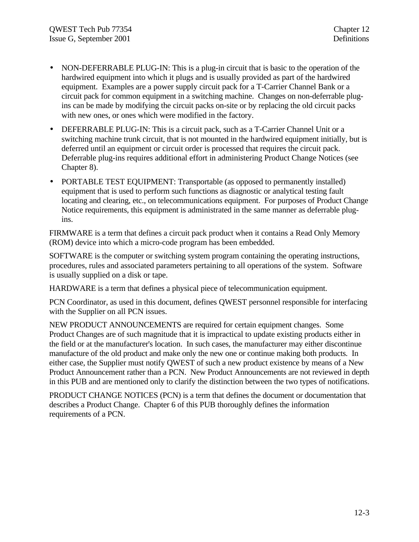- NON-DEFERRABLE PLUG-IN: This is a plug-in circuit that is basic to the operation of the hardwired equipment into which it plugs and is usually provided as part of the hardwired equipment. Examples are a power supply circuit pack for a T-Carrier Channel Bank or a circuit pack for common equipment in a switching machine. Changes on non-deferrable plugins can be made by modifying the circuit packs on-site or by replacing the old circuit packs with new ones, or ones which were modified in the factory.
- DEFERRABLE PLUG-IN: This is a circuit pack, such as a T-Carrier Channel Unit or a switching machine trunk circuit, that is not mounted in the hardwired equipment initially, but is deferred until an equipment or circuit order is processed that requires the circuit pack. Deferrable plug-ins requires additional effort in administering Product Change Notices (see Chapter 8).
- PORTABLE TEST EQUIPMENT: Transportable (as opposed to permanently installed) equipment that is used to perform such functions as diagnostic or analytical testing fault locating and clearing, etc., on telecommunications equipment. For purposes of Product Change Notice requirements, this equipment is administrated in the same manner as deferrable plugins.

FIRMWARE is a term that defines a circuit pack product when it contains a Read Only Memory (ROM) device into which a micro-code program has been embedded.

SOFTWARE is the computer or switching system program containing the operating instructions, procedures, rules and associated parameters pertaining to all operations of the system. Software is usually supplied on a disk or tape.

HARDWARE is a term that defines a physical piece of telecommunication equipment.

PCN Coordinator, as used in this document, defines QWEST personnel responsible for interfacing with the Supplier on all PCN issues.

NEW PRODUCT ANNOUNCEMENTS are required for certain equipment changes. Some Product Changes are of such magnitude that it is impractical to update existing products either in the field or at the manufacturer's location. In such cases, the manufacturer may either discontinue manufacture of the old product and make only the new one or continue making both products. In either case, the Supplier must notify QWEST of such a new product existence by means of a New Product Announcement rather than a PCN. New Product Announcements are not reviewed in depth in this PUB and are mentioned only to clarify the distinction between the two types of notifications.

PRODUCT CHANGE NOTICES (PCN) is a term that defines the document or documentation that describes a Product Change. Chapter 6 of this PUB thoroughly defines the information requirements of a PCN.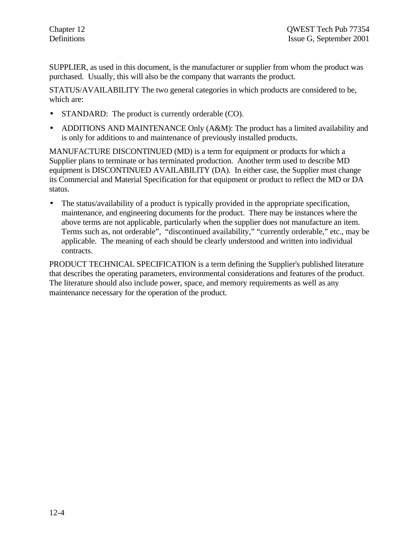SUPPLIER, as used in this document, is the manufacturer or supplier from whom the product was purchased. Usually, this will also be the company that warrants the product.

STATUS/AVAILABILITY The two general categories in which products are considered to be, which are:

- STANDARD: The product is currently orderable (CO).
- ADDITIONS AND MAINTENANCE Only (A&M): The product has a limited availability and is only for additions to and maintenance of previously installed products.

MANUFACTURE DISCONTINUED (MD) is a term for equipment or products for which a Supplier plans to terminate or has terminated production. Another term used to describe MD equipment is DISCONTINUED AVAILABILITY (DA). In either case, the Supplier must change its Commercial and Material Specification for that equipment or product to reflect the MD or DA status.

• The status/availability of a product is typically provided in the appropriate specification, maintenance, and engineering documents for the product. There may be instances where the above terms are not applicable, particularly when the supplier does not manufacture an item. Terms such as, not orderable", "discontinued availability," "currently orderable," etc., may be applicable. The meaning of each should be clearly understood and written into individual contracts.

PRODUCT TECHNICAL SPECIFICATION is a term defining the Supplier's published literature that describes the operating parameters, environmental considerations and features of the product. The literature should also include power, space, and memory requirements as well as any maintenance necessary for the operation of the product.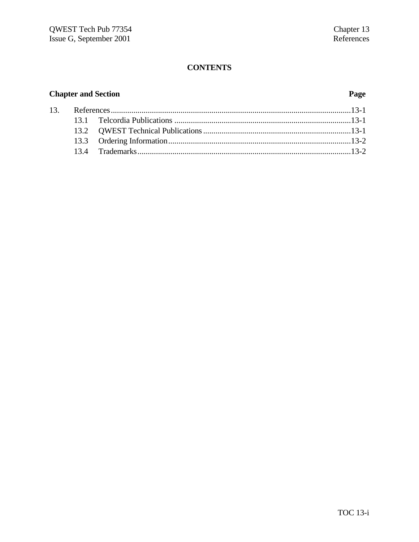# **Chapter and Section**

#### Page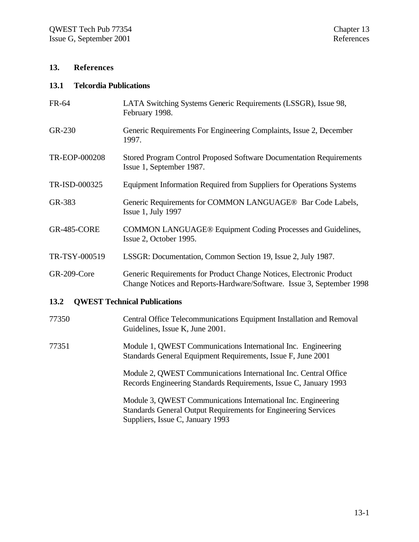#### **13. References**

#### **13.1 Telcordia Publications**

| FR-64              | LATA Switching Systems Generic Requirements (LSSGR), Issue 98,<br>February 1998.                                                             |
|--------------------|----------------------------------------------------------------------------------------------------------------------------------------------|
| GR-230             | Generic Requirements For Engineering Complaints, Issue 2, December<br>1997.                                                                  |
| TR-EOP-000208      | Stored Program Control Proposed Software Documentation Requirements<br>Issue 1, September 1987.                                              |
| TR-ISD-000325      | Equipment Information Required from Suppliers for Operations Systems                                                                         |
| GR-383             | Generic Requirements for COMMON LANGUAGE® Bar Code Labels,<br>Issue 1, July 1997                                                             |
| <b>GR-485-CORE</b> | <b>COMMON LANGUAGE® Equipment Coding Processes and Guidelines,</b><br>Issue 2, October 1995.                                                 |
| TR-TSY-000519      | LSSGR: Documentation, Common Section 19, Issue 2, July 1987.                                                                                 |
| GR-209-Core        | Generic Requirements for Product Change Notices, Electronic Product<br>Change Notices and Reports-Hardware/Software. Issue 3, September 1998 |
| 13.2               | <b>QWEST Technical Publications</b>                                                                                                          |
| 77350              | Central Office Telecommunications Equipment Installation and Removal<br>Guidelines, Issue K, June 2001.                                      |

77351 Module 1, QWEST Communications International Inc. Engineering Standards General Equipment Requirements, Issue F, June 2001

> Module 2, QWEST Communications International Inc. Central Office Records Engineering Standards Requirements, Issue C, January 1993

Module 3, QWEST Communications International Inc. Engineering Standards General Output Requirements for Engineering Services Suppliers, Issue C, January 1993